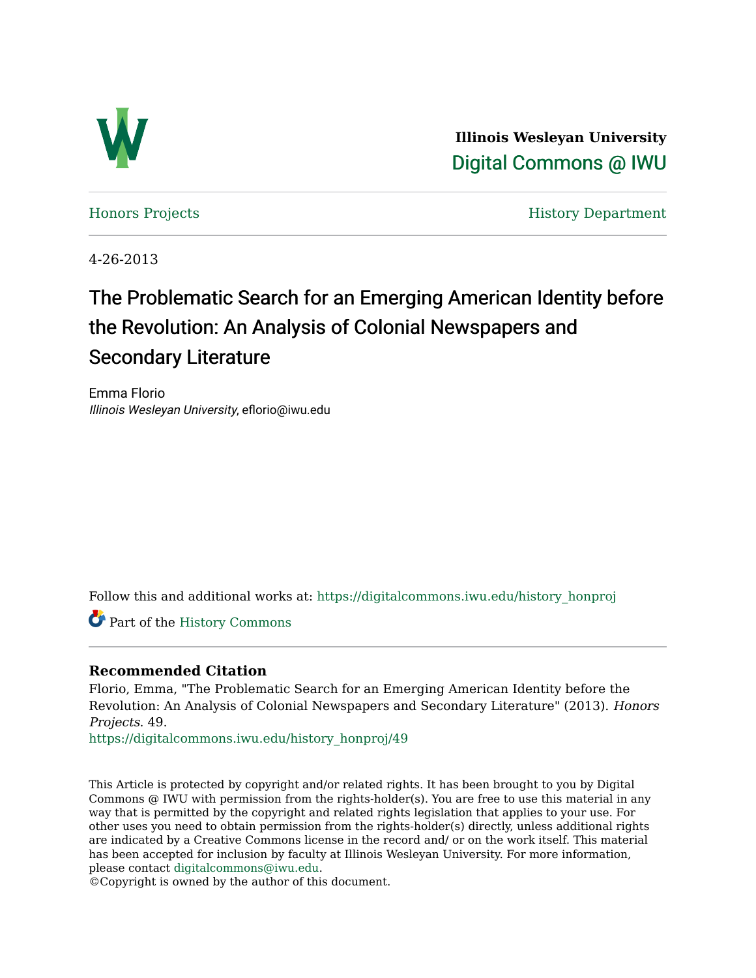

**Illinois Wesleyan University**  [Digital Commons @ IWU](https://digitalcommons.iwu.edu/) 

[Honors Projects](https://digitalcommons.iwu.edu/history_honproj) **History Department** 

4-26-2013

## The Problematic Search for an Emerging American Identity before the Revolution: An Analysis of Colonial Newspapers and Secondary Literature

Emma Florio Illinois Wesleyan University, eflorio@iwu.edu

Follow this and additional works at: [https://digitalcommons.iwu.edu/history\\_honproj](https://digitalcommons.iwu.edu/history_honproj?utm_source=digitalcommons.iwu.edu%2Fhistory_honproj%2F49&utm_medium=PDF&utm_campaign=PDFCoverPages) 

Part of the [History Commons](http://network.bepress.com/hgg/discipline/489?utm_source=digitalcommons.iwu.edu%2Fhistory_honproj%2F49&utm_medium=PDF&utm_campaign=PDFCoverPages)

## **Recommended Citation**

Florio, Emma, "The Problematic Search for an Emerging American Identity before the Revolution: An Analysis of Colonial Newspapers and Secondary Literature" (2013). Honors Projects. 49.

[https://digitalcommons.iwu.edu/history\\_honproj/49](https://digitalcommons.iwu.edu/history_honproj/49?utm_source=digitalcommons.iwu.edu%2Fhistory_honproj%2F49&utm_medium=PDF&utm_campaign=PDFCoverPages) 

This Article is protected by copyright and/or related rights. It has been brought to you by Digital Commons @ IWU with permission from the rights-holder(s). You are free to use this material in any way that is permitted by the copyright and related rights legislation that applies to your use. For other uses you need to obtain permission from the rights-holder(s) directly, unless additional rights are indicated by a Creative Commons license in the record and/ or on the work itself. This material has been accepted for inclusion by faculty at Illinois Wesleyan University. For more information, please contact [digitalcommons@iwu.edu.](mailto:digitalcommons@iwu.edu)

©Copyright is owned by the author of this document.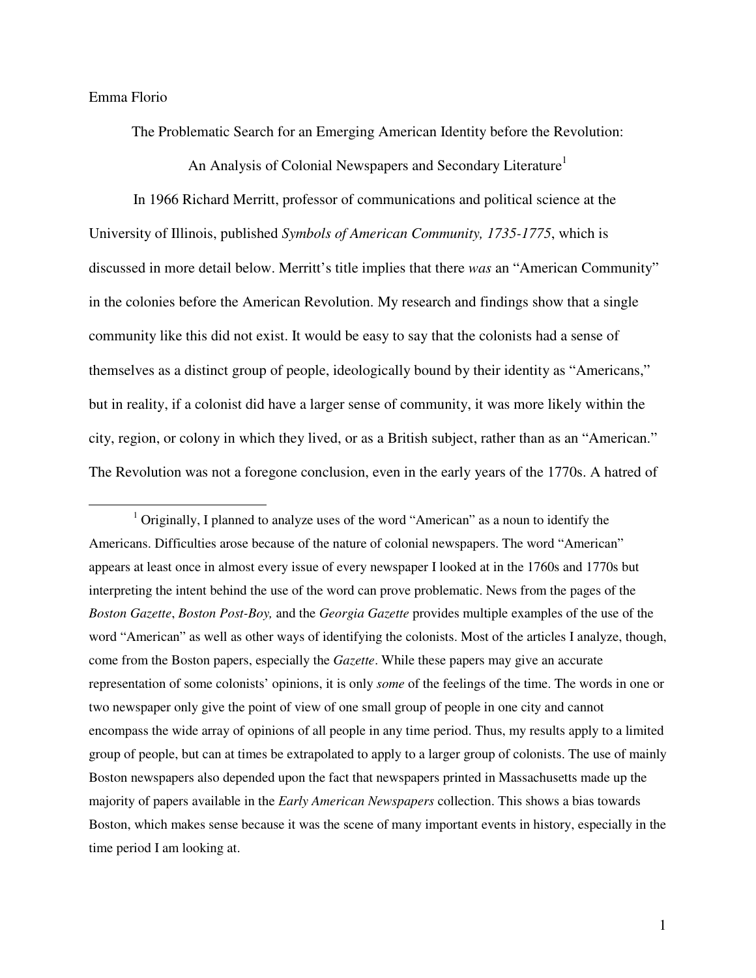Emma Florio

-

The Problematic Search for an Emerging American Identity before the Revolution:

An Analysis of Colonial Newspapers and Secondary Literature<sup>1</sup>

 In 1966 Richard Merritt, professor of communications and political science at the University of Illinois, published *Symbols of American Community, 1735-1775*, which is discussed in more detail below. Merritt's title implies that there *was* an "American Community" in the colonies before the American Revolution. My research and findings show that a single community like this did not exist. It would be easy to say that the colonists had a sense of themselves as a distinct group of people, ideologically bound by their identity as "Americans," but in reality, if a colonist did have a larger sense of community, it was more likely within the city, region, or colony in which they lived, or as a British subject, rather than as an "American." The Revolution was not a foregone conclusion, even in the early years of the 1770s. A hatred of

<sup>&</sup>lt;sup>1</sup> Originally, I planned to analyze uses of the word "American" as a noun to identify the Americans. Difficulties arose because of the nature of colonial newspapers. The word "American" appears at least once in almost every issue of every newspaper I looked at in the 1760s and 1770s but interpreting the intent behind the use of the word can prove problematic. News from the pages of the *Boston Gazette*, *Boston Post-Boy,* and the *Georgia Gazette* provides multiple examples of the use of the word "American" as well as other ways of identifying the colonists. Most of the articles I analyze, though, come from the Boston papers, especially the *Gazette*. While these papers may give an accurate representation of some colonists' opinions, it is only *some* of the feelings of the time. The words in one or two newspaper only give the point of view of one small group of people in one city and cannot encompass the wide array of opinions of all people in any time period. Thus, my results apply to a limited group of people, but can at times be extrapolated to apply to a larger group of colonists. The use of mainly Boston newspapers also depended upon the fact that newspapers printed in Massachusetts made up the majority of papers available in the *Early American Newspapers* collection. This shows a bias towards Boston, which makes sense because it was the scene of many important events in history, especially in the time period I am looking at.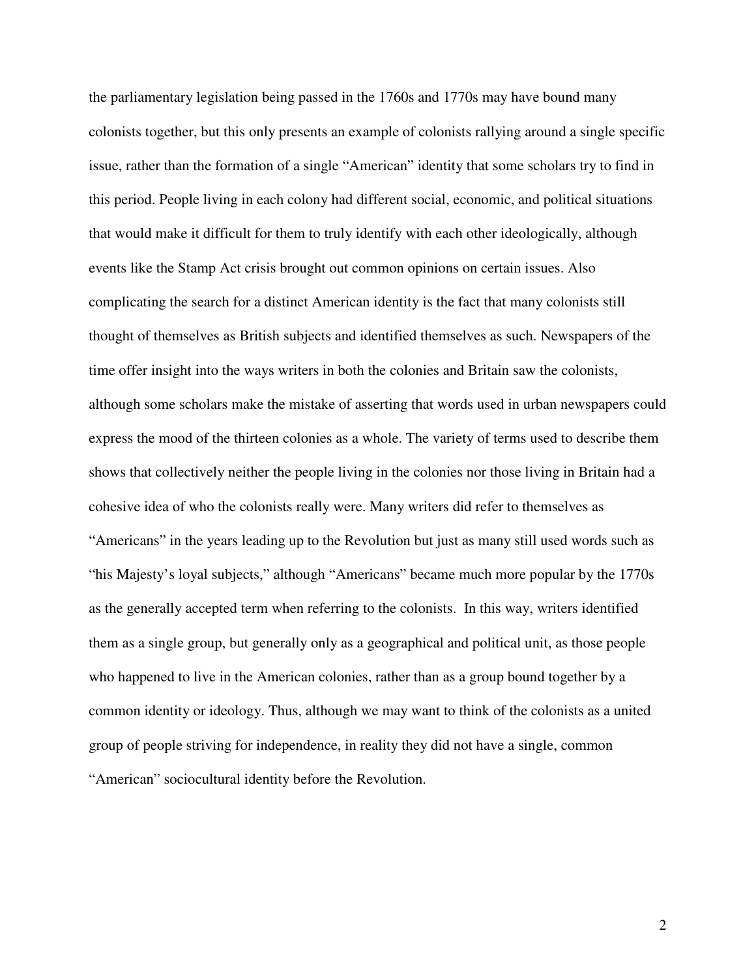the parliamentary legislation being passed in the 1760s and 1770s may have bound many colonists together, but this only presents an example of colonists rallying around a single specific issue, rather than the formation of a single "American" identity that some scholars try to find in this period. People living in each colony had different social, economic, and political situations that would make it difficult for them to truly identify with each other ideologically, although events like the Stamp Act crisis brought out common opinions on certain issues. Also complicating the search for a distinct American identity is the fact that many colonists still thought of themselves as British subjects and identified themselves as such. Newspapers of the time offer insight into the ways writers in both the colonies and Britain saw the colonists, although some scholars make the mistake of asserting that words used in urban newspapers could express the mood of the thirteen colonies as a whole. The variety of terms used to describe them shows that collectively neither the people living in the colonies nor those living in Britain had a cohesive idea of who the colonists really were. Many writers did refer to themselves as "Americans" in the years leading up to the Revolution but just as many still used words such as "his Majesty's loyal subjects," although "Americans" became much more popular by the 1770s as the generally accepted term when referring to the colonists. In this way, writers identified them as a single group, but generally only as a geographical and political unit, as those people who happened to live in the American colonies, rather than as a group bound together by a common identity or ideology. Thus, although we may want to think of the colonists as a united group of people striving for independence, in reality they did not have a single, common "American" sociocultural identity before the Revolution.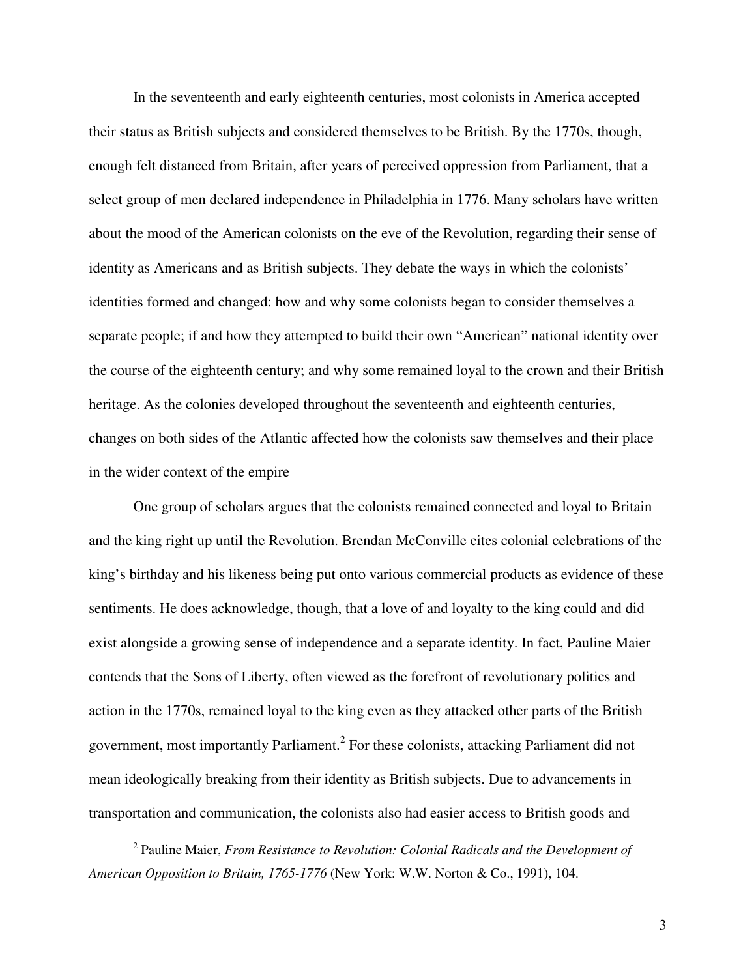In the seventeenth and early eighteenth centuries, most colonists in America accepted their status as British subjects and considered themselves to be British. By the 1770s, though, enough felt distanced from Britain, after years of perceived oppression from Parliament, that a select group of men declared independence in Philadelphia in 1776. Many scholars have written about the mood of the American colonists on the eve of the Revolution, regarding their sense of identity as Americans and as British subjects. They debate the ways in which the colonists' identities formed and changed: how and why some colonists began to consider themselves a separate people; if and how they attempted to build their own "American" national identity over the course of the eighteenth century; and why some remained loyal to the crown and their British heritage. As the colonies developed throughout the seventeenth and eighteenth centuries, changes on both sides of the Atlantic affected how the colonists saw themselves and their place in the wider context of the empire

 One group of scholars argues that the colonists remained connected and loyal to Britain and the king right up until the Revolution. Brendan McConville cites colonial celebrations of the king's birthday and his likeness being put onto various commercial products as evidence of these sentiments. He does acknowledge, though, that a love of and loyalty to the king could and did exist alongside a growing sense of independence and a separate identity. In fact, Pauline Maier contends that the Sons of Liberty, often viewed as the forefront of revolutionary politics and action in the 1770s, remained loyal to the king even as they attacked other parts of the British government, most importantly Parliament.<sup>2</sup> For these colonists, attacking Parliament did not mean ideologically breaking from their identity as British subjects. Due to advancements in transportation and communication, the colonists also had easier access to British goods and

<sup>&</sup>lt;sup>2</sup> Pauline Maier, *From Resistance to Revolution: Colonial Radicals and the Development of American Opposition to Britain, 1765-1776* (New York: W.W. Norton & Co., 1991), 104.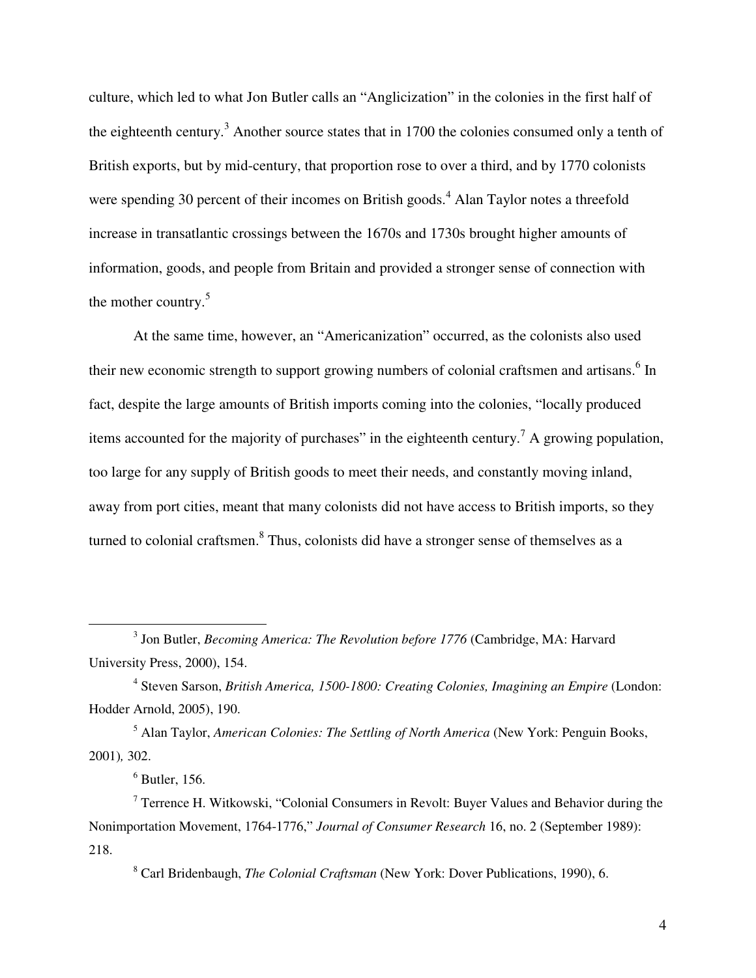culture, which led to what Jon Butler calls an "Anglicization" in the colonies in the first half of the eighteenth century.<sup>3</sup> Another source states that in 1700 the colonies consumed only a tenth of British exports, but by mid-century, that proportion rose to over a third, and by 1770 colonists were spending 30 percent of their incomes on British goods.<sup>4</sup> Alan Taylor notes a threefold increase in transatlantic crossings between the 1670s and 1730s brought higher amounts of information, goods, and people from Britain and provided a stronger sense of connection with the mother country.<sup>5</sup>

 At the same time, however, an "Americanization" occurred, as the colonists also used their new economic strength to support growing numbers of colonial craftsmen and artisans.<sup>6</sup> In fact, despite the large amounts of British imports coming into the colonies, "locally produced items accounted for the majority of purchases" in the eighteenth century.<sup>7</sup> A growing population, too large for any supply of British goods to meet their needs, and constantly moving inland, away from port cities, meant that many colonists did not have access to British imports, so they turned to colonial craftsmen.<sup>8</sup> Thus, colonists did have a stronger sense of themselves as a

<sup>5</sup> Alan Taylor, *American Colonies: The Settling of North America* (New York: Penguin Books, 2001)*,* 302.

 $<sup>6</sup>$  Butler, 156.</sup>

 $\overline{a}$ 

8 Carl Bridenbaugh, *The Colonial Craftsman* (New York: Dover Publications, 1990), 6.

<sup>&</sup>lt;sup>3</sup> Jon Butler, *Becoming America: The Revolution before 1776* (Cambridge, MA: Harvard University Press, 2000), 154.

<sup>4</sup> Steven Sarson, *British America, 1500-1800: Creating Colonies, Imagining an Empire* (London: Hodder Arnold, 2005), 190.

<sup>&</sup>lt;sup>7</sup> Terrence H. Witkowski, "Colonial Consumers in Revolt: Buyer Values and Behavior during the Nonimportation Movement, 1764-1776," *Journal of Consumer Research* 16, no. 2 (September 1989): 218.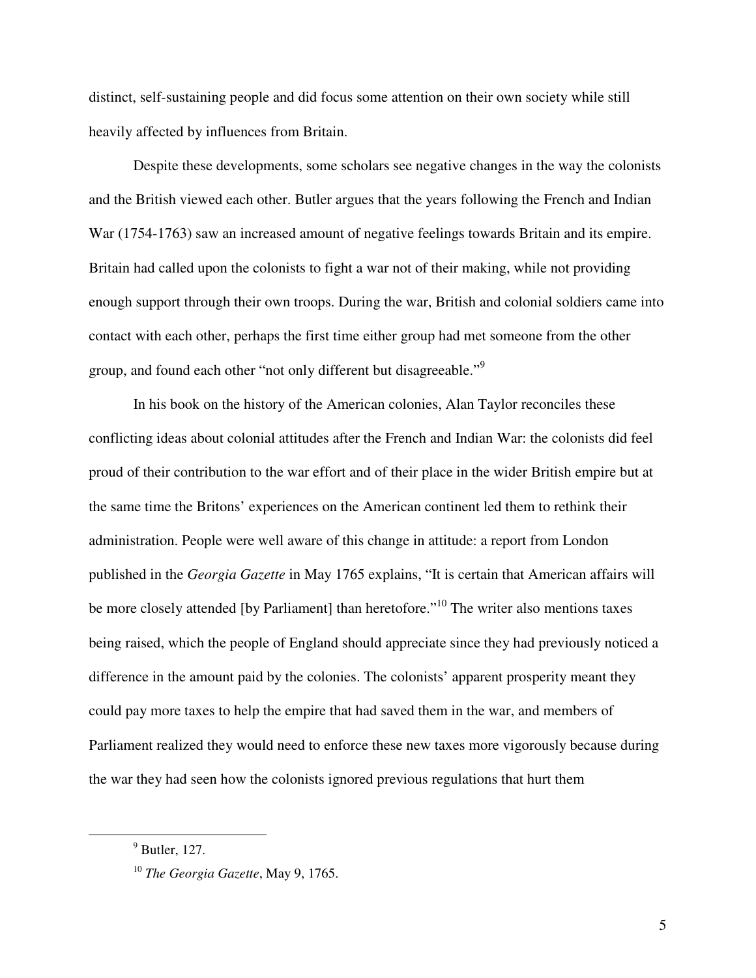distinct, self-sustaining people and did focus some attention on their own society while still heavily affected by influences from Britain.

 Despite these developments, some scholars see negative changes in the way the colonists and the British viewed each other. Butler argues that the years following the French and Indian War (1754-1763) saw an increased amount of negative feelings towards Britain and its empire. Britain had called upon the colonists to fight a war not of their making, while not providing enough support through their own troops. During the war, British and colonial soldiers came into contact with each other, perhaps the first time either group had met someone from the other group, and found each other "not only different but disagreeable."<sup>9</sup>

 In his book on the history of the American colonies, Alan Taylor reconciles these conflicting ideas about colonial attitudes after the French and Indian War: the colonists did feel proud of their contribution to the war effort and of their place in the wider British empire but at the same time the Britons' experiences on the American continent led them to rethink their administration. People were well aware of this change in attitude: a report from London published in the *Georgia Gazette* in May 1765 explains, "It is certain that American affairs will be more closely attended [by Parliament] than heretofore."<sup>10</sup> The writer also mentions taxes being raised, which the people of England should appreciate since they had previously noticed a difference in the amount paid by the colonies. The colonists' apparent prosperity meant they could pay more taxes to help the empire that had saved them in the war, and members of Parliament realized they would need to enforce these new taxes more vigorously because during the war they had seen how the colonists ignored previous regulations that hurt them

 $<sup>9</sup>$  Butler, 127.</sup>

<sup>10</sup> *The Georgia Gazette*, May 9, 1765.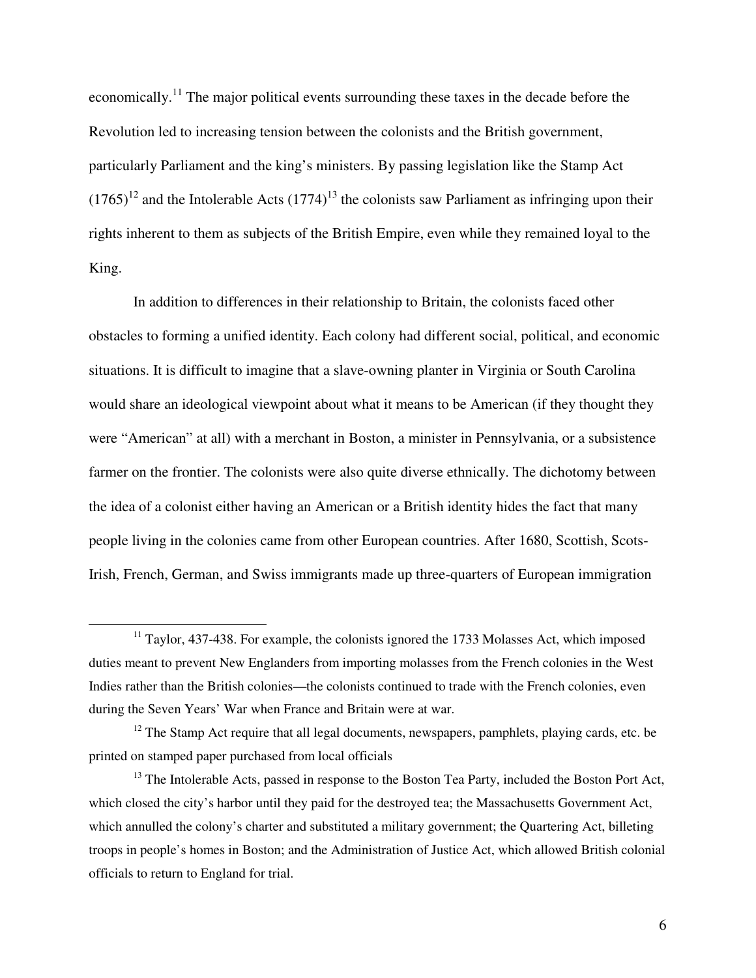economically.<sup>11</sup> The major political events surrounding these taxes in the decade before the Revolution led to increasing tension between the colonists and the British government, particularly Parliament and the king's ministers. By passing legislation like the Stamp Act  $(1765)^{12}$  and the Intolerable Acts  $(1774)^{13}$  the colonists saw Parliament as infringing upon their rights inherent to them as subjects of the British Empire, even while they remained loyal to the King.

 In addition to differences in their relationship to Britain, the colonists faced other obstacles to forming a unified identity. Each colony had different social, political, and economic situations. It is difficult to imagine that a slave-owning planter in Virginia or South Carolina would share an ideological viewpoint about what it means to be American (if they thought they were "American" at all) with a merchant in Boston, a minister in Pennsylvania, or a subsistence farmer on the frontier. The colonists were also quite diverse ethnically. The dichotomy between the idea of a colonist either having an American or a British identity hides the fact that many people living in the colonies came from other European countries. After 1680, Scottish, Scots-Irish, French, German, and Swiss immigrants made up three-quarters of European immigration

 $11$  Taylor, 437-438. For example, the colonists ignored the 1733 Molasses Act, which imposed duties meant to prevent New Englanders from importing molasses from the French colonies in the West Indies rather than the British colonies—the colonists continued to trade with the French colonies, even during the Seven Years' War when France and Britain were at war.

 $12$  The Stamp Act require that all legal documents, newspapers, pamphlets, playing cards, etc. be printed on stamped paper purchased from local officials

<sup>&</sup>lt;sup>13</sup> The Intolerable Acts, passed in response to the Boston Tea Party, included the Boston Port Act, which closed the city's harbor until they paid for the destroyed tea; the Massachusetts Government Act, which annulled the colony's charter and substituted a military government; the Quartering Act, billeting troops in people's homes in Boston; and the Administration of Justice Act, which allowed British colonial officials to return to England for trial.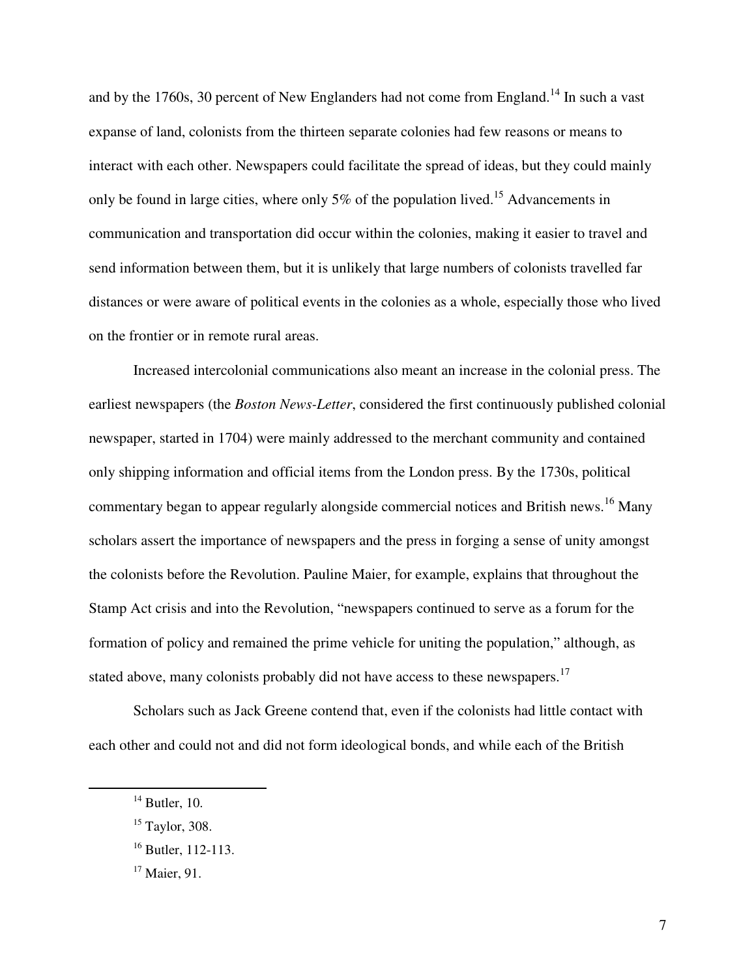and by the 1760s, 30 percent of New Englanders had not come from England.<sup>14</sup> In such a vast expanse of land, colonists from the thirteen separate colonies had few reasons or means to interact with each other. Newspapers could facilitate the spread of ideas, but they could mainly only be found in large cities, where only 5% of the population lived.<sup>15</sup> Advancements in communication and transportation did occur within the colonies, making it easier to travel and send information between them, but it is unlikely that large numbers of colonists travelled far distances or were aware of political events in the colonies as a whole, especially those who lived on the frontier or in remote rural areas.

 Increased intercolonial communications also meant an increase in the colonial press. The earliest newspapers (the *Boston News-Letter*, considered the first continuously published colonial newspaper, started in 1704) were mainly addressed to the merchant community and contained only shipping information and official items from the London press. By the 1730s, political commentary began to appear regularly alongside commercial notices and British news.<sup>16</sup> Many scholars assert the importance of newspapers and the press in forging a sense of unity amongst the colonists before the Revolution. Pauline Maier, for example, explains that throughout the Stamp Act crisis and into the Revolution, "newspapers continued to serve as a forum for the formation of policy and remained the prime vehicle for uniting the population," although, as stated above, many colonists probably did not have access to these newspapers.<sup>17</sup>

 Scholars such as Jack Greene contend that, even if the colonists had little contact with each other and could not and did not form ideological bonds, and while each of the British

 $14$  Butler, 10.

 $15$  Taylor, 308.

<sup>&</sup>lt;sup>16</sup> Butler, 112-113.

 $17$  Maier, 91.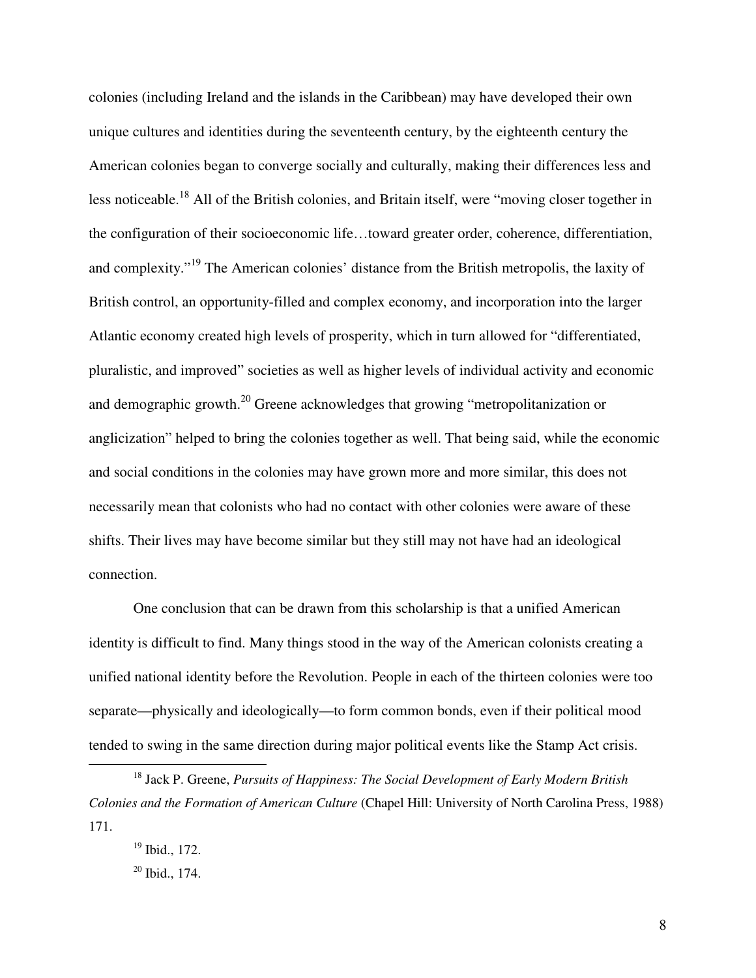colonies (including Ireland and the islands in the Caribbean) may have developed their own unique cultures and identities during the seventeenth century, by the eighteenth century the American colonies began to converge socially and culturally, making their differences less and less noticeable.<sup>18</sup> All of the British colonies, and Britain itself, were "moving closer together in the configuration of their socioeconomic life…toward greater order, coherence, differentiation, and complexity."<sup>19</sup> The American colonies' distance from the British metropolis, the laxity of British control, an opportunity-filled and complex economy, and incorporation into the larger Atlantic economy created high levels of prosperity, which in turn allowed for "differentiated, pluralistic, and improved" societies as well as higher levels of individual activity and economic and demographic growth.<sup>20</sup> Greene acknowledges that growing "metropolitanization or anglicization" helped to bring the colonies together as well. That being said, while the economic and social conditions in the colonies may have grown more and more similar, this does not necessarily mean that colonists who had no contact with other colonies were aware of these shifts. Their lives may have become similar but they still may not have had an ideological connection.

 One conclusion that can be drawn from this scholarship is that a unified American identity is difficult to find. Many things stood in the way of the American colonists creating a unified national identity before the Revolution. People in each of the thirteen colonies were too separate—physically and ideologically—to form common bonds, even if their political mood tended to swing in the same direction during major political events like the Stamp Act crisis.

<sup>18</sup> Jack P. Greene, *Pursuits of Happiness: The Social Development of Early Modern British Colonies and the Formation of American Culture* (Chapel Hill: University of North Carolina Press, 1988) 171.

<sup>&</sup>lt;sup>19</sup> Ibid., 172. <sup>20</sup> Ibid., 174.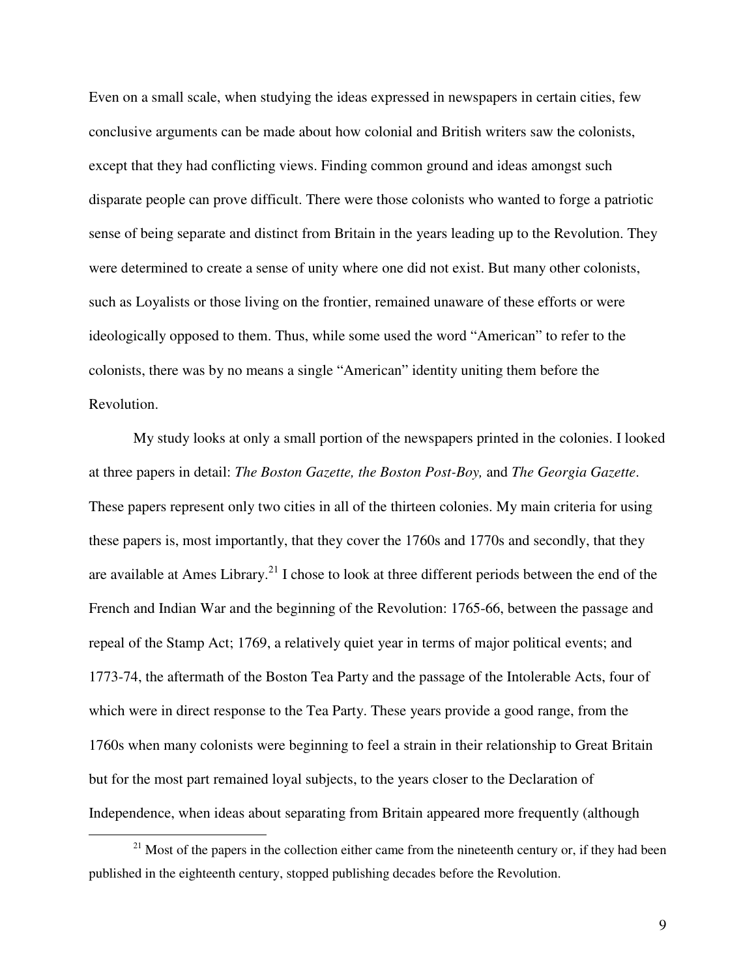Even on a small scale, when studying the ideas expressed in newspapers in certain cities, few conclusive arguments can be made about how colonial and British writers saw the colonists, except that they had conflicting views. Finding common ground and ideas amongst such disparate people can prove difficult. There were those colonists who wanted to forge a patriotic sense of being separate and distinct from Britain in the years leading up to the Revolution. They were determined to create a sense of unity where one did not exist. But many other colonists, such as Loyalists or those living on the frontier, remained unaware of these efforts or were ideologically opposed to them. Thus, while some used the word "American" to refer to the colonists, there was by no means a single "American" identity uniting them before the Revolution.

 My study looks at only a small portion of the newspapers printed in the colonies. I looked at three papers in detail: *The Boston Gazette, the Boston Post-Boy,* and *The Georgia Gazette*. These papers represent only two cities in all of the thirteen colonies. My main criteria for using these papers is, most importantly, that they cover the 1760s and 1770s and secondly, that they are available at Ames Library.<sup>21</sup> I chose to look at three different periods between the end of the French and Indian War and the beginning of the Revolution: 1765-66, between the passage and repeal of the Stamp Act; 1769, a relatively quiet year in terms of major political events; and 1773-74, the aftermath of the Boston Tea Party and the passage of the Intolerable Acts, four of which were in direct response to the Tea Party. These years provide a good range, from the 1760s when many colonists were beginning to feel a strain in their relationship to Great Britain but for the most part remained loyal subjects, to the years closer to the Declaration of Independence, when ideas about separating from Britain appeared more frequently (although

 $21$  Most of the papers in the collection either came from the nineteenth century or, if they had been published in the eighteenth century, stopped publishing decades before the Revolution.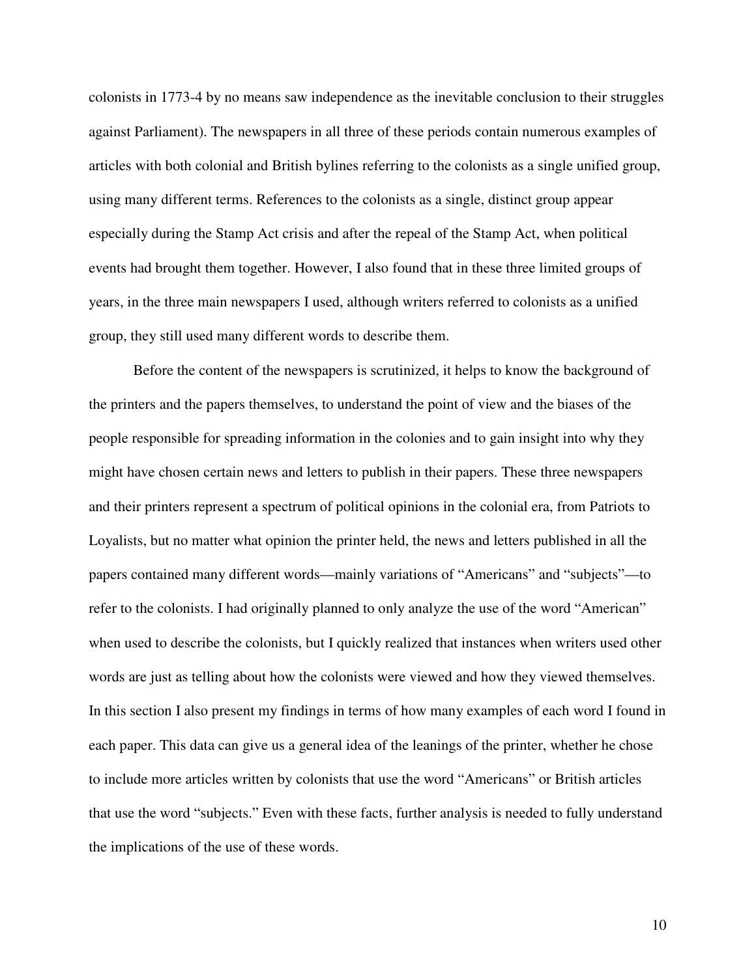colonists in 1773-4 by no means saw independence as the inevitable conclusion to their struggles against Parliament). The newspapers in all three of these periods contain numerous examples of articles with both colonial and British bylines referring to the colonists as a single unified group, using many different terms. References to the colonists as a single, distinct group appear especially during the Stamp Act crisis and after the repeal of the Stamp Act, when political events had brought them together. However, I also found that in these three limited groups of years, in the three main newspapers I used, although writers referred to colonists as a unified group, they still used many different words to describe them.

 Before the content of the newspapers is scrutinized, it helps to know the background of the printers and the papers themselves, to understand the point of view and the biases of the people responsible for spreading information in the colonies and to gain insight into why they might have chosen certain news and letters to publish in their papers. These three newspapers and their printers represent a spectrum of political opinions in the colonial era, from Patriots to Loyalists, but no matter what opinion the printer held, the news and letters published in all the papers contained many different words—mainly variations of "Americans" and "subjects"—to refer to the colonists. I had originally planned to only analyze the use of the word "American" when used to describe the colonists, but I quickly realized that instances when writers used other words are just as telling about how the colonists were viewed and how they viewed themselves. In this section I also present my findings in terms of how many examples of each word I found in each paper. This data can give us a general idea of the leanings of the printer, whether he chose to include more articles written by colonists that use the word "Americans" or British articles that use the word "subjects." Even with these facts, further analysis is needed to fully understand the implications of the use of these words.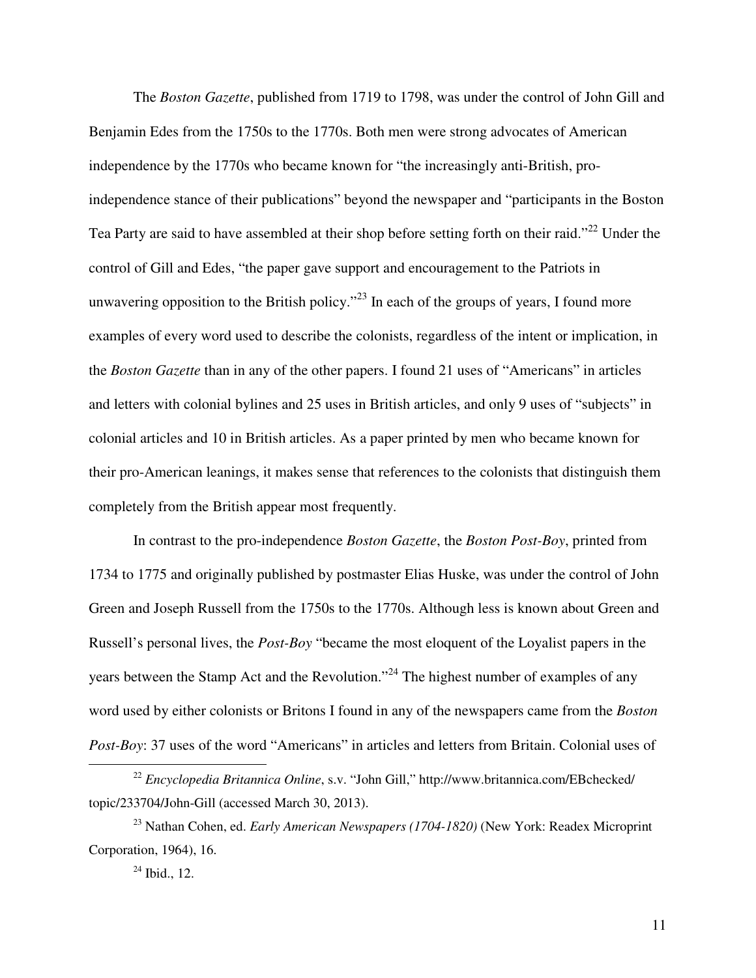The *Boston Gazette*, published from 1719 to 1798, was under the control of John Gill and Benjamin Edes from the 1750s to the 1770s. Both men were strong advocates of American independence by the 1770s who became known for "the increasingly anti-British, proindependence stance of their publications" beyond the newspaper and "participants in the Boston Tea Party are said to have assembled at their shop before setting forth on their raid."<sup>22</sup> Under the control of Gill and Edes, "the paper gave support and encouragement to the Patriots in unwavering opposition to the British policy."<sup>23</sup> In each of the groups of years, I found more examples of every word used to describe the colonists, regardless of the intent or implication, in the *Boston Gazette* than in any of the other papers. I found 21 uses of "Americans" in articles and letters with colonial bylines and 25 uses in British articles, and only 9 uses of "subjects" in colonial articles and 10 in British articles. As a paper printed by men who became known for their pro-American leanings, it makes sense that references to the colonists that distinguish them completely from the British appear most frequently.

 In contrast to the pro-independence *Boston Gazette*, the *Boston Post-Boy*, printed from 1734 to 1775 and originally published by postmaster Elias Huske, was under the control of John Green and Joseph Russell from the 1750s to the 1770s. Although less is known about Green and Russell's personal lives, the *Post-Boy* "became the most eloquent of the Loyalist papers in the years between the Stamp Act and the Revolution."<sup>24</sup> The highest number of examples of any word used by either colonists or Britons I found in any of the newspapers came from the *Boston Post-Boy*: 37 uses of the word "Americans" in articles and letters from Britain. Colonial uses of

-

11

<sup>22</sup> *Encyclopedia Britannica Online*, s.v. "John Gill," http://www.britannica.com/EBchecked/ topic/233704/John-Gill (accessed March 30, 2013).

<sup>23</sup> Nathan Cohen, ed. *Early American Newspapers (1704-1820)* (New York: Readex Microprint Corporation, 1964), 16.

 $24$  Ibid., 12.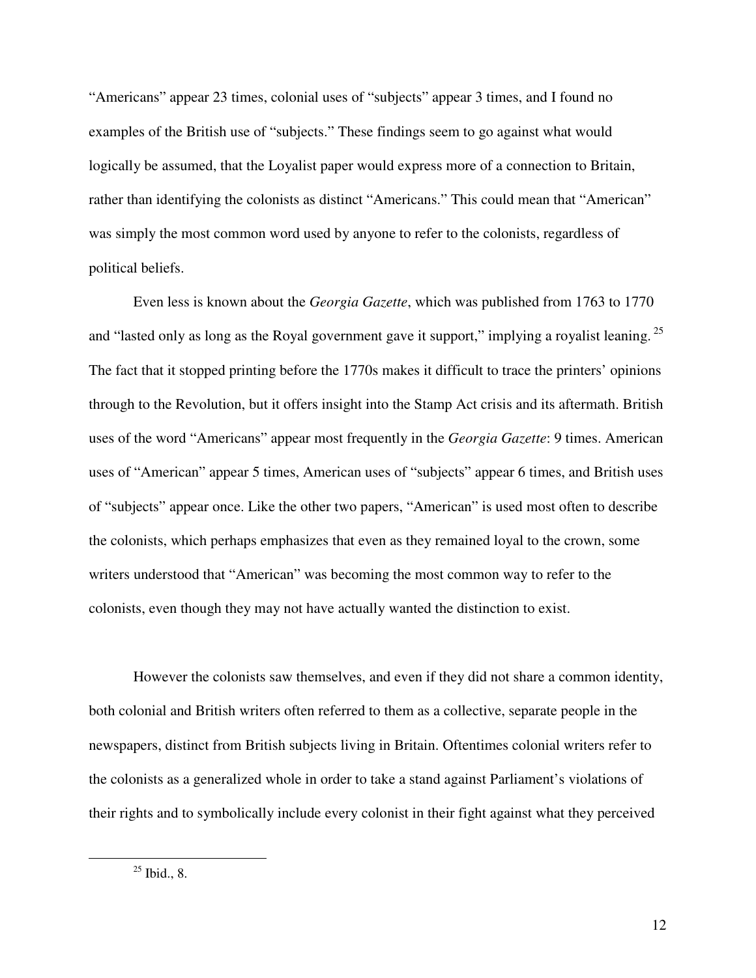"Americans" appear 23 times, colonial uses of "subjects" appear 3 times, and I found no examples of the British use of "subjects." These findings seem to go against what would logically be assumed, that the Loyalist paper would express more of a connection to Britain, rather than identifying the colonists as distinct "Americans." This could mean that "American" was simply the most common word used by anyone to refer to the colonists, regardless of political beliefs.

 Even less is known about the *Georgia Gazette*, which was published from 1763 to 1770 and "lasted only as long as the Royal government gave it support," implying a royalist leaning.<sup>25</sup> The fact that it stopped printing before the 1770s makes it difficult to trace the printers' opinions through to the Revolution, but it offers insight into the Stamp Act crisis and its aftermath. British uses of the word "Americans" appear most frequently in the *Georgia Gazette*: 9 times. American uses of "American" appear 5 times, American uses of "subjects" appear 6 times, and British uses of "subjects" appear once. Like the other two papers, "American" is used most often to describe the colonists, which perhaps emphasizes that even as they remained loyal to the crown, some writers understood that "American" was becoming the most common way to refer to the colonists, even though they may not have actually wanted the distinction to exist.

 However the colonists saw themselves, and even if they did not share a common identity, both colonial and British writers often referred to them as a collective, separate people in the newspapers, distinct from British subjects living in Britain. Oftentimes colonial writers refer to the colonists as a generalized whole in order to take a stand against Parliament's violations of their rights and to symbolically include every colonist in their fight against what they perceived

 $25$  Ibid., 8.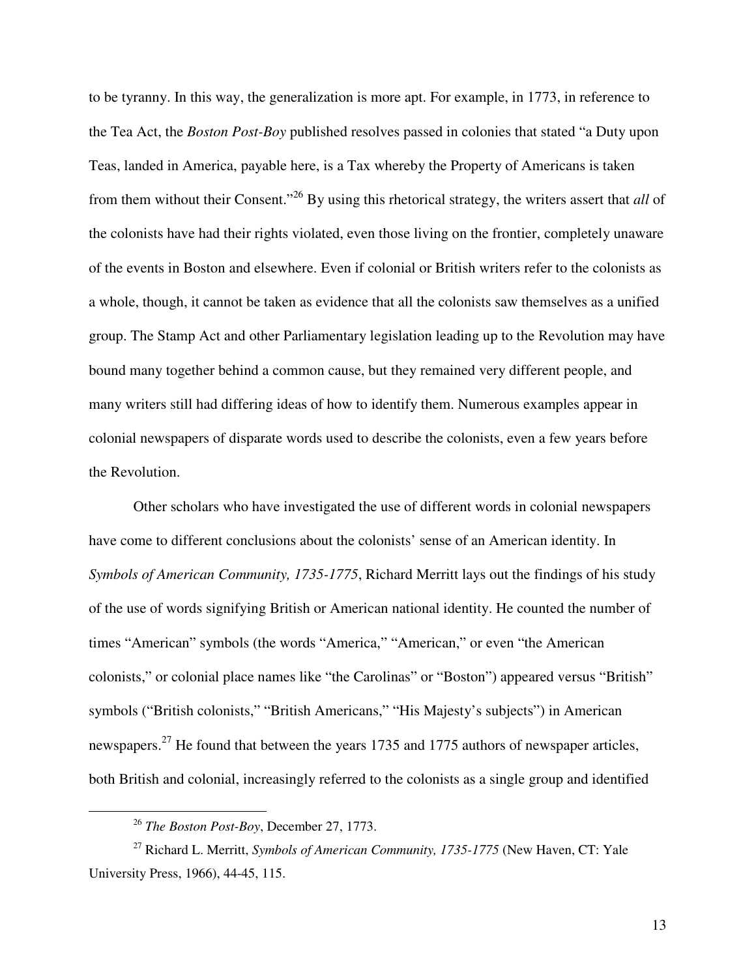to be tyranny. In this way, the generalization is more apt. For example, in 1773, in reference to the Tea Act, the *Boston Post-Boy* published resolves passed in colonies that stated "a Duty upon Teas, landed in America, payable here, is a Tax whereby the Property of Americans is taken from them without their Consent."<sup>26</sup> By using this rhetorical strategy, the writers assert that *all* of the colonists have had their rights violated, even those living on the frontier, completely unaware of the events in Boston and elsewhere. Even if colonial or British writers refer to the colonists as a whole, though, it cannot be taken as evidence that all the colonists saw themselves as a unified group. The Stamp Act and other Parliamentary legislation leading up to the Revolution may have bound many together behind a common cause, but they remained very different people, and many writers still had differing ideas of how to identify them. Numerous examples appear in colonial newspapers of disparate words used to describe the colonists, even a few years before the Revolution.

 Other scholars who have investigated the use of different words in colonial newspapers have come to different conclusions about the colonists' sense of an American identity. In *Symbols of American Community, 1735-1775*, Richard Merritt lays out the findings of his study of the use of words signifying British or American national identity. He counted the number of times "American" symbols (the words "America," "American," or even "the American colonists," or colonial place names like "the Carolinas" or "Boston") appeared versus "British" symbols ("British colonists," "British Americans," "His Majesty's subjects") in American newspapers.<sup>27</sup> He found that between the years 1735 and 1775 authors of newspaper articles, both British and colonial, increasingly referred to the colonists as a single group and identified

<sup>26</sup> *The Boston Post-Boy*, December 27, 1773.

<sup>27</sup> Richard L. Merritt, *Symbols of American Community, 1735-1775* (New Haven, CT: Yale University Press, 1966), 44-45, 115.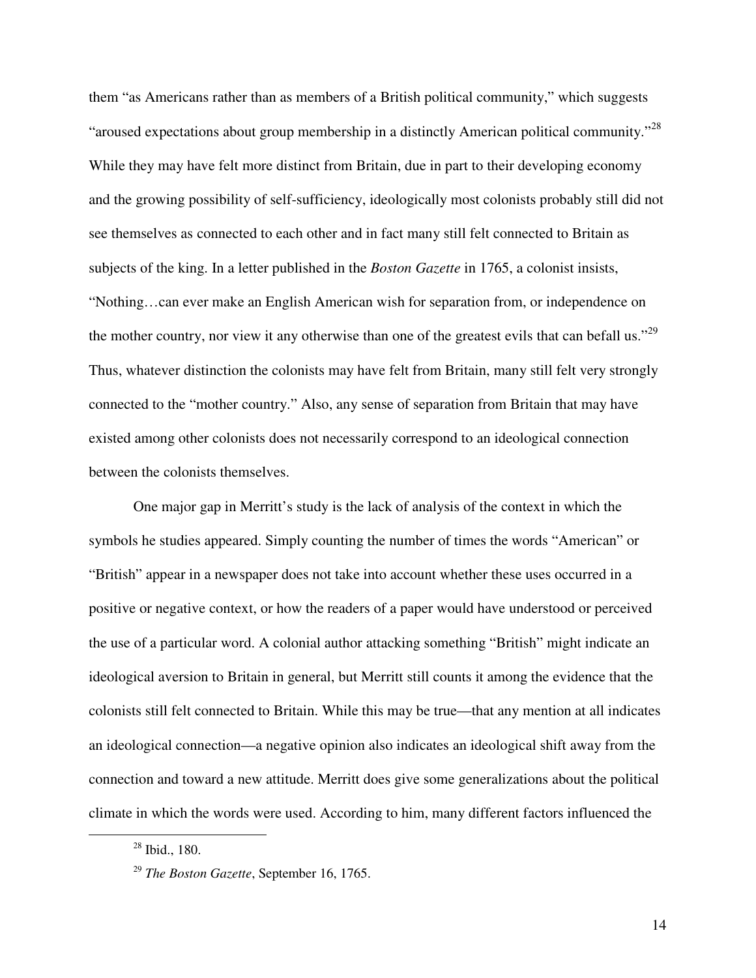them "as Americans rather than as members of a British political community," which suggests "aroused expectations about group membership in a distinctly American political community."<sup>28</sup> While they may have felt more distinct from Britain, due in part to their developing economy and the growing possibility of self-sufficiency, ideologically most colonists probably still did not see themselves as connected to each other and in fact many still felt connected to Britain as subjects of the king. In a letter published in the *Boston Gazette* in 1765, a colonist insists, "Nothing…can ever make an English American wish for separation from, or independence on the mother country, nor view it any otherwise than one of the greatest evils that can befall us."<sup>29</sup> Thus, whatever distinction the colonists may have felt from Britain, many still felt very strongly connected to the "mother country." Also, any sense of separation from Britain that may have existed among other colonists does not necessarily correspond to an ideological connection between the colonists themselves.

 One major gap in Merritt's study is the lack of analysis of the context in which the symbols he studies appeared. Simply counting the number of times the words "American" or "British" appear in a newspaper does not take into account whether these uses occurred in a positive or negative context, or how the readers of a paper would have understood or perceived the use of a particular word. A colonial author attacking something "British" might indicate an ideological aversion to Britain in general, but Merritt still counts it among the evidence that the colonists still felt connected to Britain. While this may be true—that any mention at all indicates an ideological connection—a negative opinion also indicates an ideological shift away from the connection and toward a new attitude. Merritt does give some generalizations about the political climate in which the words were used. According to him, many different factors influenced the

-

<sup>28</sup> Ibid., 180.

<sup>29</sup> *The Boston Gazette*, September 16, 1765.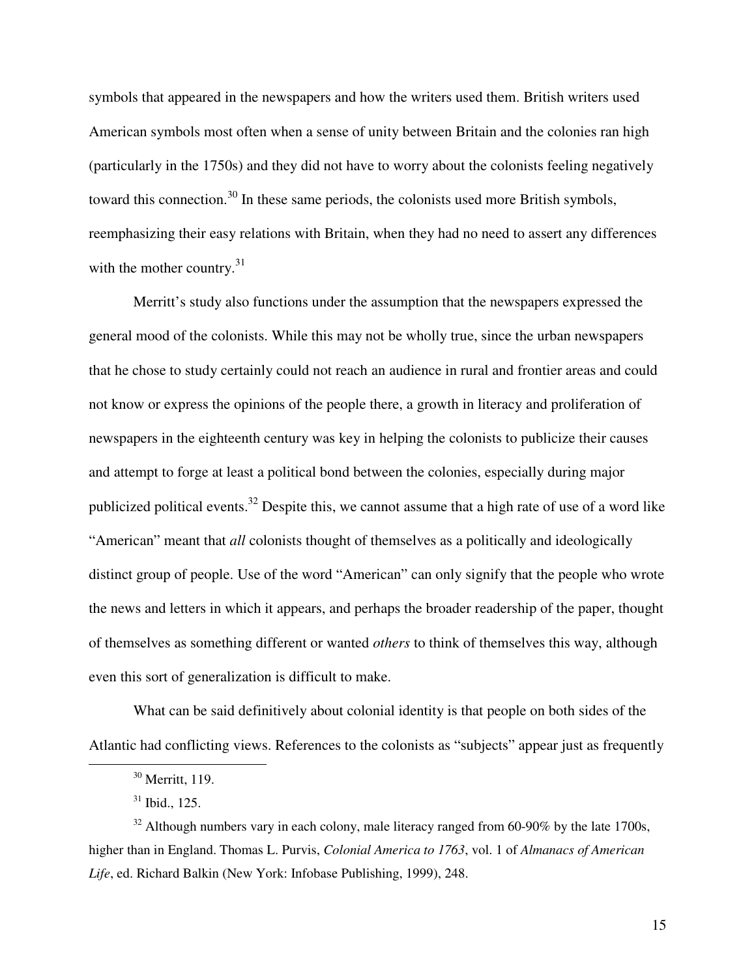symbols that appeared in the newspapers and how the writers used them. British writers used American symbols most often when a sense of unity between Britain and the colonies ran high (particularly in the 1750s) and they did not have to worry about the colonists feeling negatively toward this connection.<sup>30</sup> In these same periods, the colonists used more British symbols, reemphasizing their easy relations with Britain, when they had no need to assert any differences with the mother country. $31$ 

 Merritt's study also functions under the assumption that the newspapers expressed the general mood of the colonists. While this may not be wholly true, since the urban newspapers that he chose to study certainly could not reach an audience in rural and frontier areas and could not know or express the opinions of the people there, a growth in literacy and proliferation of newspapers in the eighteenth century was key in helping the colonists to publicize their causes and attempt to forge at least a political bond between the colonies, especially during major publicized political events.<sup>32</sup> Despite this, we cannot assume that a high rate of use of a word like "American" meant that *all* colonists thought of themselves as a politically and ideologically distinct group of people. Use of the word "American" can only signify that the people who wrote the news and letters in which it appears, and perhaps the broader readership of the paper, thought of themselves as something different or wanted *others* to think of themselves this way, although even this sort of generalization is difficult to make.

 What can be said definitively about colonial identity is that people on both sides of the Atlantic had conflicting views. References to the colonists as "subjects" appear just as frequently

<sup>30</sup> Merritt, 119.

<sup>31</sup> Ibid., 125.

 $32$  Although numbers vary in each colony, male literacy ranged from 60-90% by the late 1700s, higher than in England. Thomas L. Purvis, *Colonial America to 1763*, vol. 1 of *Almanacs of American Life*, ed. Richard Balkin (New York: Infobase Publishing, 1999), 248.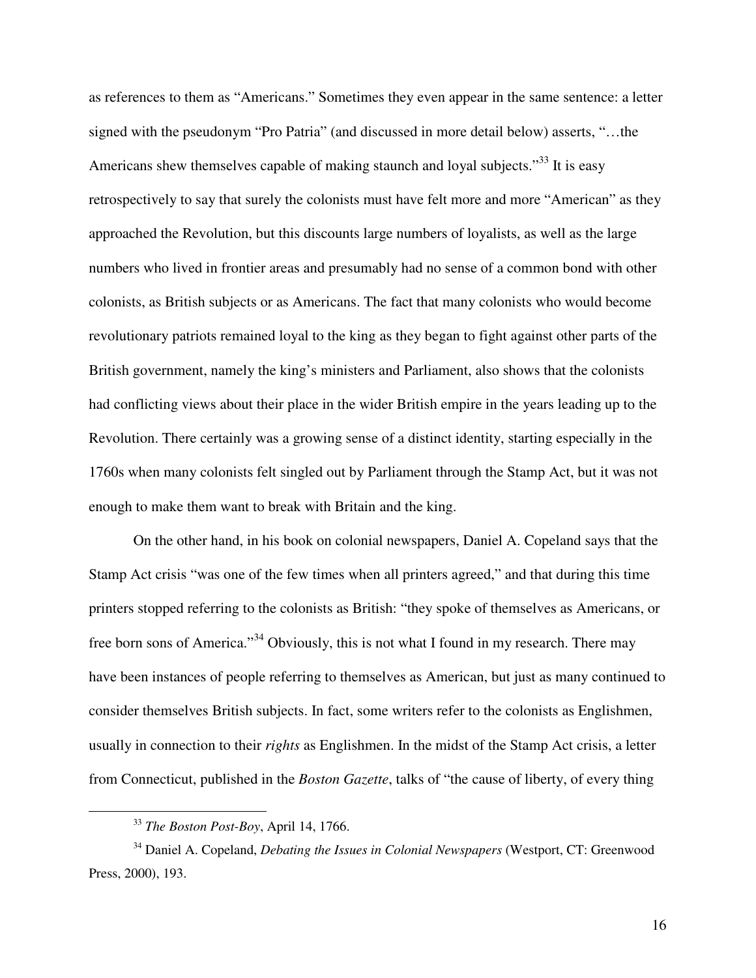as references to them as "Americans." Sometimes they even appear in the same sentence: a letter signed with the pseudonym "Pro Patria" (and discussed in more detail below) asserts, "…the Americans shew themselves capable of making staunch and loyal subjects."<sup>33</sup> It is easy retrospectively to say that surely the colonists must have felt more and more "American" as they approached the Revolution, but this discounts large numbers of loyalists, as well as the large numbers who lived in frontier areas and presumably had no sense of a common bond with other colonists, as British subjects or as Americans. The fact that many colonists who would become revolutionary patriots remained loyal to the king as they began to fight against other parts of the British government, namely the king's ministers and Parliament, also shows that the colonists had conflicting views about their place in the wider British empire in the years leading up to the Revolution. There certainly was a growing sense of a distinct identity, starting especially in the 1760s when many colonists felt singled out by Parliament through the Stamp Act, but it was not enough to make them want to break with Britain and the king.

 On the other hand, in his book on colonial newspapers, Daniel A. Copeland says that the Stamp Act crisis "was one of the few times when all printers agreed," and that during this time printers stopped referring to the colonists as British: "they spoke of themselves as Americans, or free born sons of America."<sup>34</sup> Obviously, this is not what I found in my research. There may have been instances of people referring to themselves as American, but just as many continued to consider themselves British subjects. In fact, some writers refer to the colonists as Englishmen, usually in connection to their *rights* as Englishmen. In the midst of the Stamp Act crisis, a letter from Connecticut, published in the *Boston Gazette*, talks of "the cause of liberty, of every thing

<sup>33</sup> *The Boston Post-Boy*, April 14, 1766.

<sup>34</sup> Daniel A. Copeland, *Debating the Issues in Colonial Newspapers* (Westport, CT: Greenwood Press, 2000), 193.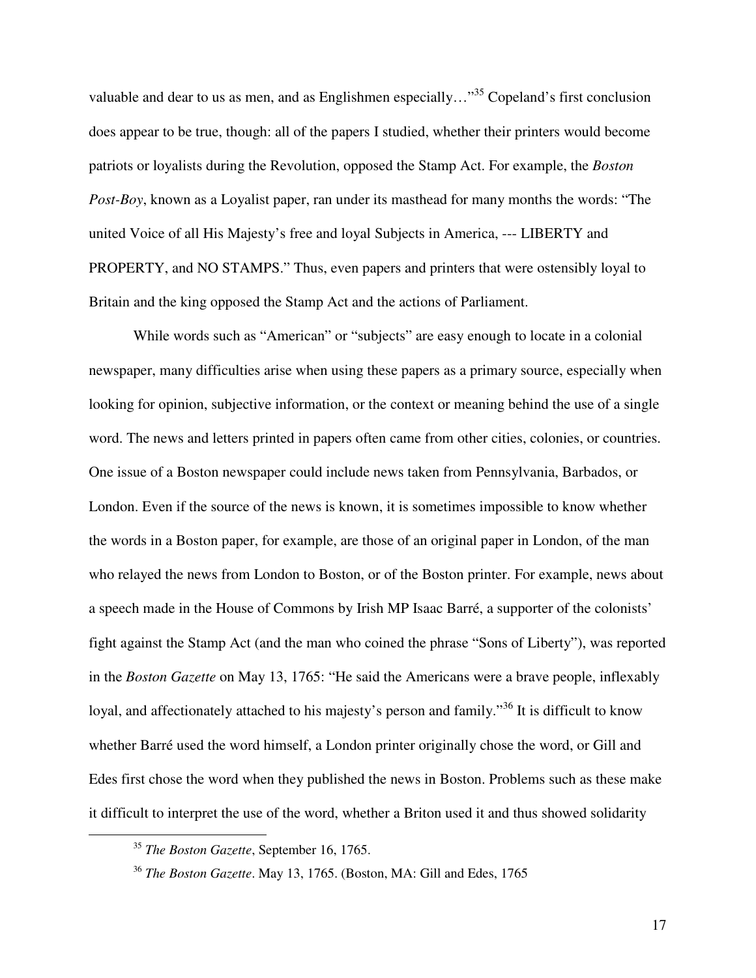valuable and dear to us as men, and as Englishmen especially..."<sup>35</sup> Copeland's first conclusion does appear to be true, though: all of the papers I studied, whether their printers would become patriots or loyalists during the Revolution, opposed the Stamp Act. For example, the *Boston Post-Boy*, known as a Loyalist paper, ran under its masthead for many months the words: "The united Voice of all His Majesty's free and loyal Subjects in America, --- LIBERTY and PROPERTY, and NO STAMPS." Thus, even papers and printers that were ostensibly loyal to Britain and the king opposed the Stamp Act and the actions of Parliament.

 While words such as "American" or "subjects" are easy enough to locate in a colonial newspaper, many difficulties arise when using these papers as a primary source, especially when looking for opinion, subjective information, or the context or meaning behind the use of a single word. The news and letters printed in papers often came from other cities, colonies, or countries. One issue of a Boston newspaper could include news taken from Pennsylvania, Barbados, or London. Even if the source of the news is known, it is sometimes impossible to know whether the words in a Boston paper, for example, are those of an original paper in London, of the man who relayed the news from London to Boston, or of the Boston printer. For example, news about a speech made in the House of Commons by Irish MP Isaac Barré, a supporter of the colonists' fight against the Stamp Act (and the man who coined the phrase "Sons of Liberty"), was reported in the *Boston Gazette* on May 13, 1765: "He said the Americans were a brave people, inflexably loyal, and affectionately attached to his majesty's person and family."<sup>36</sup> It is difficult to know whether Barré used the word himself, a London printer originally chose the word, or Gill and Edes first chose the word when they published the news in Boston. Problems such as these make it difficult to interpret the use of the word, whether a Briton used it and thus showed solidarity

<sup>35</sup> *The Boston Gazette*, September 16, 1765.

<sup>36</sup> *The Boston Gazette*. May 13, 1765. (Boston, MA: Gill and Edes, 1765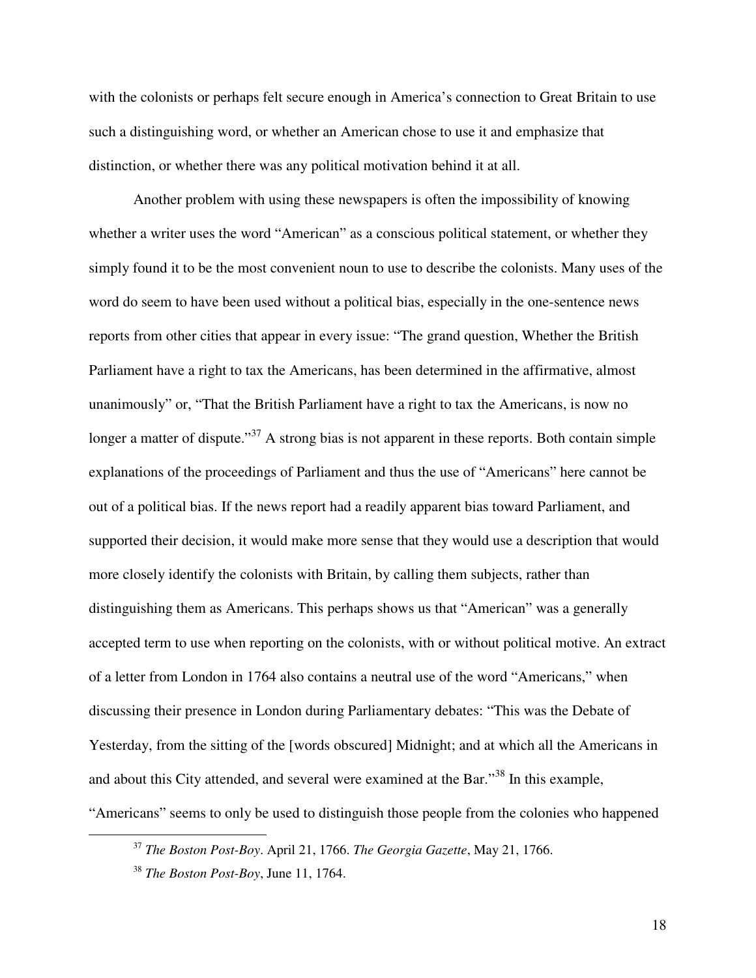with the colonists or perhaps felt secure enough in America's connection to Great Britain to use such a distinguishing word, or whether an American chose to use it and emphasize that distinction, or whether there was any political motivation behind it at all.

 Another problem with using these newspapers is often the impossibility of knowing whether a writer uses the word "American" as a conscious political statement, or whether they simply found it to be the most convenient noun to use to describe the colonists. Many uses of the word do seem to have been used without a political bias, especially in the one-sentence news reports from other cities that appear in every issue: "The grand question, Whether the British Parliament have a right to tax the Americans, has been determined in the affirmative, almost unanimously" or, "That the British Parliament have a right to tax the Americans, is now no longer a matter of dispute."<sup>37</sup> A strong bias is not apparent in these reports. Both contain simple explanations of the proceedings of Parliament and thus the use of "Americans" here cannot be out of a political bias. If the news report had a readily apparent bias toward Parliament, and supported their decision, it would make more sense that they would use a description that would more closely identify the colonists with Britain, by calling them subjects, rather than distinguishing them as Americans. This perhaps shows us that "American" was a generally accepted term to use when reporting on the colonists, with or without political motive. An extract of a letter from London in 1764 also contains a neutral use of the word "Americans," when discussing their presence in London during Parliamentary debates: "This was the Debate of Yesterday, from the sitting of the [words obscured] Midnight; and at which all the Americans in and about this City attended, and several were examined at the Bar."<sup>38</sup> In this example, "Americans" seems to only be used to distinguish those people from the colonies who happened

 $\overline{a}$ 

18

<sup>37</sup> *The Boston Post-Boy*. April 21, 1766. *The Georgia Gazette*, May 21, 1766.

<sup>38</sup> *The Boston Post-Boy*, June 11, 1764.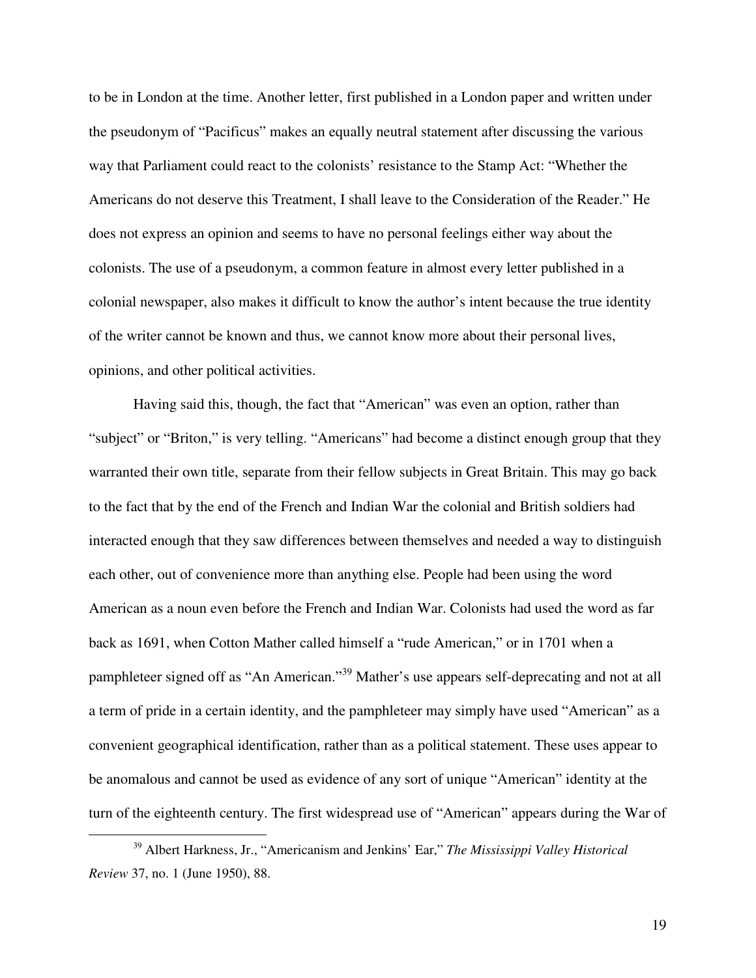to be in London at the time. Another letter, first published in a London paper and written under the pseudonym of "Pacificus" makes an equally neutral statement after discussing the various way that Parliament could react to the colonists' resistance to the Stamp Act: "Whether the Americans do not deserve this Treatment, I shall leave to the Consideration of the Reader." He does not express an opinion and seems to have no personal feelings either way about the colonists. The use of a pseudonym, a common feature in almost every letter published in a colonial newspaper, also makes it difficult to know the author's intent because the true identity of the writer cannot be known and thus, we cannot know more about their personal lives, opinions, and other political activities.

 Having said this, though, the fact that "American" was even an option, rather than "subject" or "Briton," is very telling. "Americans" had become a distinct enough group that they warranted their own title, separate from their fellow subjects in Great Britain. This may go back to the fact that by the end of the French and Indian War the colonial and British soldiers had interacted enough that they saw differences between themselves and needed a way to distinguish each other, out of convenience more than anything else. People had been using the word American as a noun even before the French and Indian War. Colonists had used the word as far back as 1691, when Cotton Mather called himself a "rude American," or in 1701 when a pamphleteer signed off as "An American."<sup>39</sup> Mather's use appears self-deprecating and not at all a term of pride in a certain identity, and the pamphleteer may simply have used "American" as a convenient geographical identification, rather than as a political statement. These uses appear to be anomalous and cannot be used as evidence of any sort of unique "American" identity at the turn of the eighteenth century. The first widespread use of "American" appears during the War of

<sup>39</sup> Albert Harkness, Jr., "Americanism and Jenkins' Ear," *The Mississippi Valley Historical Review* 37, no. 1 (June 1950), 88.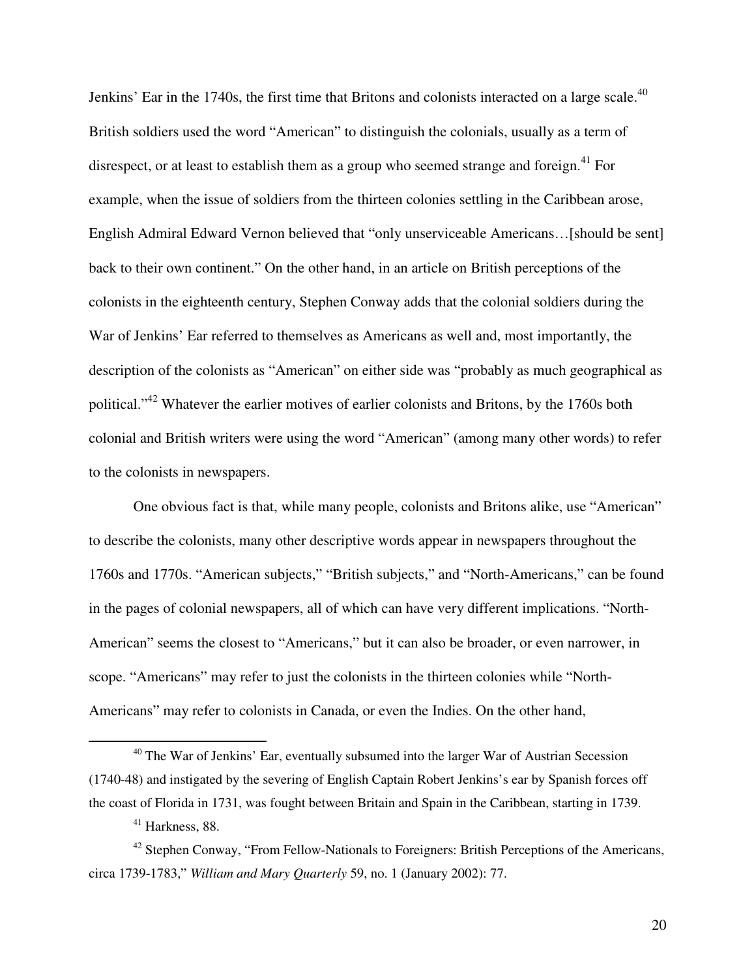Jenkins' Ear in the 1740s, the first time that Britons and colonists interacted on a large scale.<sup>40</sup> British soldiers used the word "American" to distinguish the colonials, usually as a term of disrespect, or at least to establish them as a group who seemed strange and foreign.<sup>41</sup> For example, when the issue of soldiers from the thirteen colonies settling in the Caribbean arose, English Admiral Edward Vernon believed that "only unserviceable Americans…[should be sent] back to their own continent." On the other hand, in an article on British perceptions of the colonists in the eighteenth century, Stephen Conway adds that the colonial soldiers during the War of Jenkins' Ear referred to themselves as Americans as well and, most importantly, the description of the colonists as "American" on either side was "probably as much geographical as political."<sup>42</sup> Whatever the earlier motives of earlier colonists and Britons, by the 1760s both colonial and British writers were using the word "American" (among many other words) to refer to the colonists in newspapers.

 One obvious fact is that, while many people, colonists and Britons alike, use "American" to describe the colonists, many other descriptive words appear in newspapers throughout the 1760s and 1770s. "American subjects," "British subjects," and "North-Americans," can be found in the pages of colonial newspapers, all of which can have very different implications. "North-American" seems the closest to "Americans," but it can also be broader, or even narrower, in scope. "Americans" may refer to just the colonists in the thirteen colonies while "North-Americans" may refer to colonists in Canada, or even the Indies. On the other hand,

-

<sup>&</sup>lt;sup>40</sup> The War of Jenkins' Ear, eventually subsumed into the larger War of Austrian Secession (1740-48) and instigated by the severing of English Captain Robert Jenkins's ear by Spanish forces off the coast of Florida in 1731, was fought between Britain and Spain in the Caribbean, starting in 1739.

 $41$  Harkness, 88.

<sup>&</sup>lt;sup>42</sup> Stephen Conway, "From Fellow-Nationals to Foreigners: British Perceptions of the Americans, circa 1739-1783," *William and Mary Quarterly* 59, no. 1 (January 2002): 77.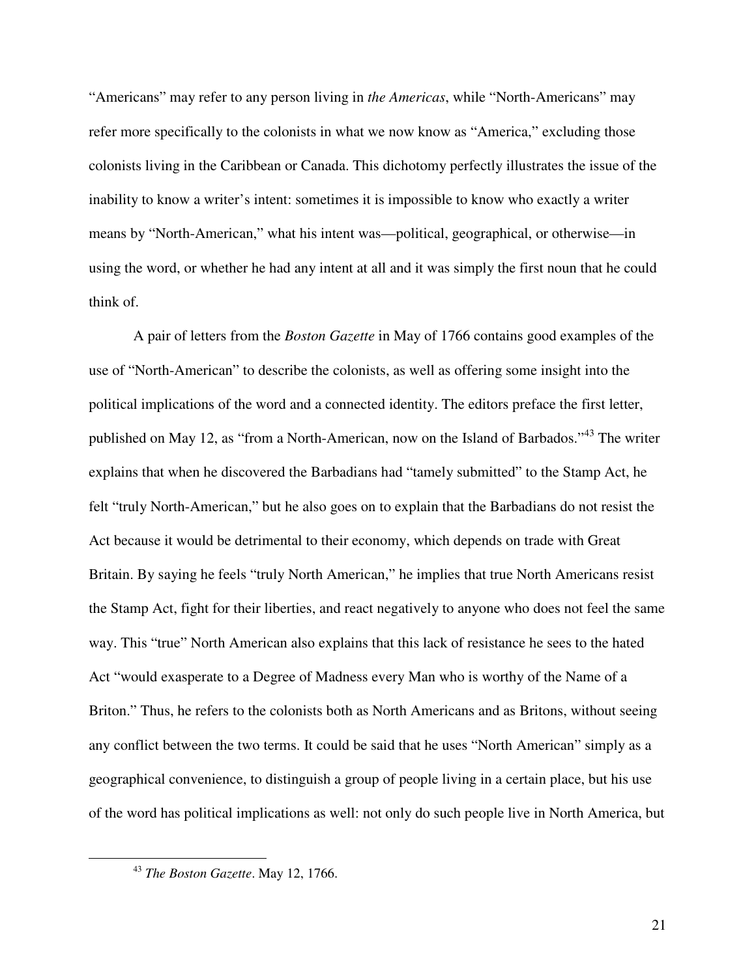"Americans" may refer to any person living in *the Americas*, while "North-Americans" may refer more specifically to the colonists in what we now know as "America," excluding those colonists living in the Caribbean or Canada. This dichotomy perfectly illustrates the issue of the inability to know a writer's intent: sometimes it is impossible to know who exactly a writer means by "North-American," what his intent was—political, geographical, or otherwise—in using the word, or whether he had any intent at all and it was simply the first noun that he could think of.

 A pair of letters from the *Boston Gazette* in May of 1766 contains good examples of the use of "North-American" to describe the colonists, as well as offering some insight into the political implications of the word and a connected identity. The editors preface the first letter, published on May 12, as "from a North-American, now on the Island of Barbados."<sup>43</sup> The writer explains that when he discovered the Barbadians had "tamely submitted" to the Stamp Act, he felt "truly North-American," but he also goes on to explain that the Barbadians do not resist the Act because it would be detrimental to their economy, which depends on trade with Great Britain. By saying he feels "truly North American," he implies that true North Americans resist the Stamp Act, fight for their liberties, and react negatively to anyone who does not feel the same way. This "true" North American also explains that this lack of resistance he sees to the hated Act "would exasperate to a Degree of Madness every Man who is worthy of the Name of a Briton." Thus, he refers to the colonists both as North Americans and as Britons, without seeing any conflict between the two terms. It could be said that he uses "North American" simply as a geographical convenience, to distinguish a group of people living in a certain place, but his use of the word has political implications as well: not only do such people live in North America, but

-

21

<sup>43</sup> *The Boston Gazette*. May 12, 1766.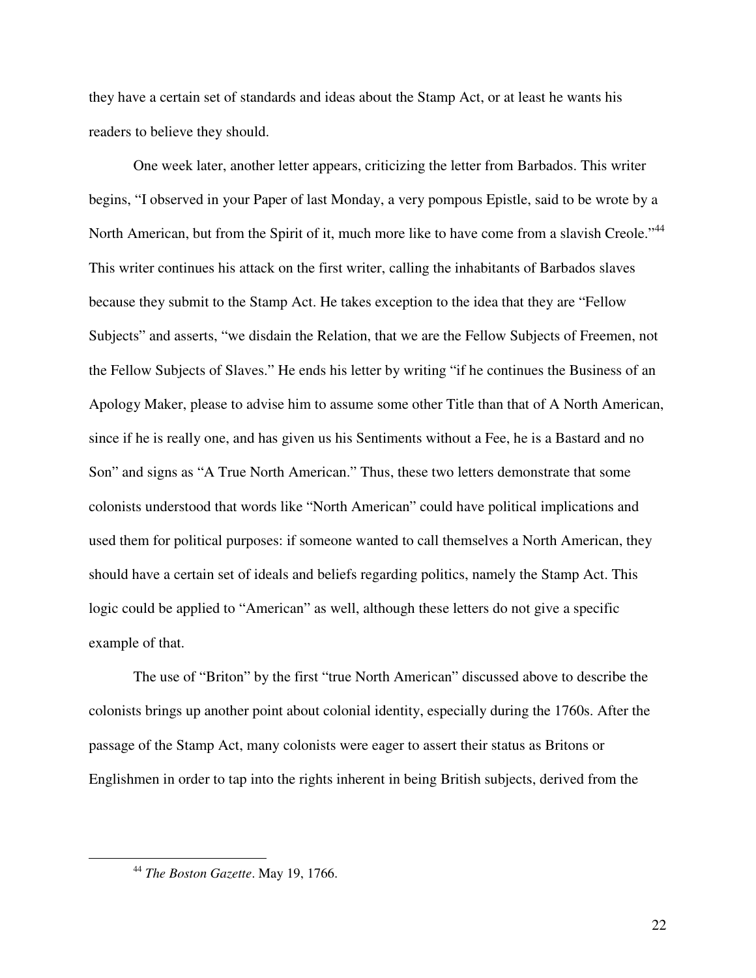they have a certain set of standards and ideas about the Stamp Act, or at least he wants his readers to believe they should.

 One week later, another letter appears, criticizing the letter from Barbados. This writer begins, "I observed in your Paper of last Monday, a very pompous Epistle, said to be wrote by a North American, but from the Spirit of it, much more like to have come from a slavish Creole."<sup>44</sup> This writer continues his attack on the first writer, calling the inhabitants of Barbados slaves because they submit to the Stamp Act. He takes exception to the idea that they are "Fellow Subjects" and asserts, "we disdain the Relation, that we are the Fellow Subjects of Freemen, not the Fellow Subjects of Slaves." He ends his letter by writing "if he continues the Business of an Apology Maker, please to advise him to assume some other Title than that of A North American, since if he is really one, and has given us his Sentiments without a Fee, he is a Bastard and no Son" and signs as "A True North American." Thus, these two letters demonstrate that some colonists understood that words like "North American" could have political implications and used them for political purposes: if someone wanted to call themselves a North American, they should have a certain set of ideals and beliefs regarding politics, namely the Stamp Act. This logic could be applied to "American" as well, although these letters do not give a specific example of that.

 The use of "Briton" by the first "true North American" discussed above to describe the colonists brings up another point about colonial identity, especially during the 1760s. After the passage of the Stamp Act, many colonists were eager to assert their status as Britons or Englishmen in order to tap into the rights inherent in being British subjects, derived from the

-

<sup>44</sup> *The Boston Gazette*. May 19, 1766.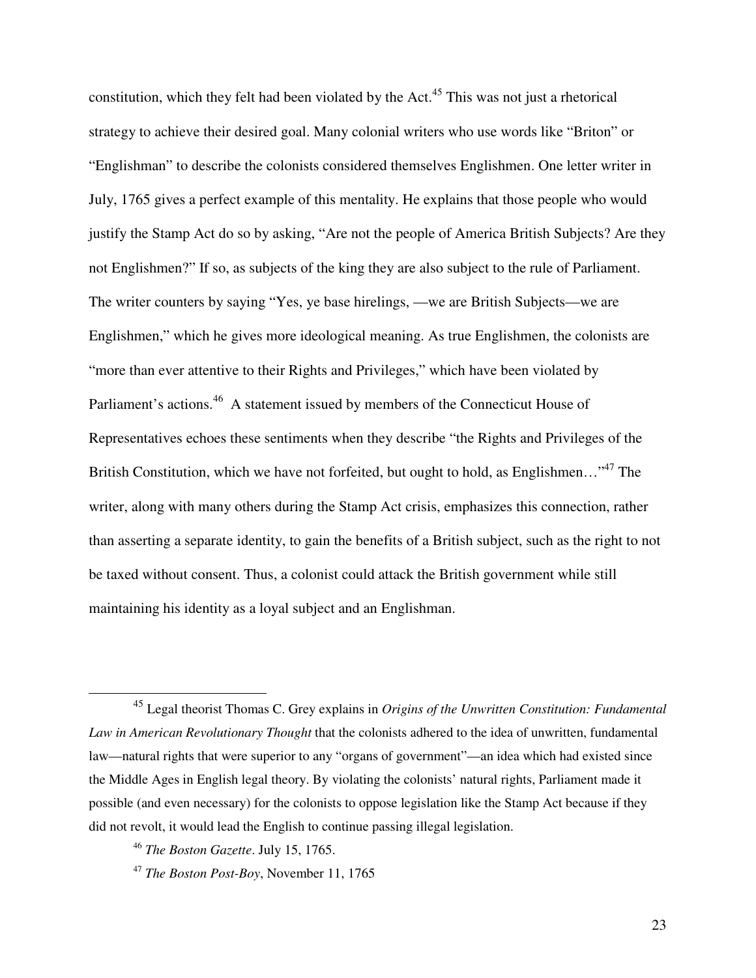constitution, which they felt had been violated by the Act.<sup>45</sup> This was not just a rhetorical strategy to achieve their desired goal. Many colonial writers who use words like "Briton" or "Englishman" to describe the colonists considered themselves Englishmen. One letter writer in July, 1765 gives a perfect example of this mentality. He explains that those people who would justify the Stamp Act do so by asking, "Are not the people of America British Subjects? Are they not Englishmen?" If so, as subjects of the king they are also subject to the rule of Parliament. The writer counters by saying "Yes, ye base hirelings, —we are British Subjects—we are Englishmen," which he gives more ideological meaning. As true Englishmen, the colonists are "more than ever attentive to their Rights and Privileges," which have been violated by Parliament's actions.<sup>46</sup> A statement issued by members of the Connecticut House of Representatives echoes these sentiments when they describe "the Rights and Privileges of the British Constitution, which we have not forfeited, but ought to hold, as Englishmen..."<sup>47</sup> The writer, along with many others during the Stamp Act crisis, emphasizes this connection, rather than asserting a separate identity, to gain the benefits of a British subject, such as the right to not be taxed without consent. Thus, a colonist could attack the British government while still maintaining his identity as a loyal subject and an Englishman.

<sup>45</sup> Legal theorist Thomas C. Grey explains in *Origins of the Unwritten Constitution: Fundamental Law in American Revolutionary Thought* that the colonists adhered to the idea of unwritten, fundamental law—natural rights that were superior to any "organs of government"—an idea which had existed since the Middle Ages in English legal theory. By violating the colonists' natural rights, Parliament made it possible (and even necessary) for the colonists to oppose legislation like the Stamp Act because if they did not revolt, it would lead the English to continue passing illegal legislation.

<sup>46</sup> *The Boston Gazette*. July 15, 1765.

<sup>47</sup> *The Boston Post-Boy*, November 11, 1765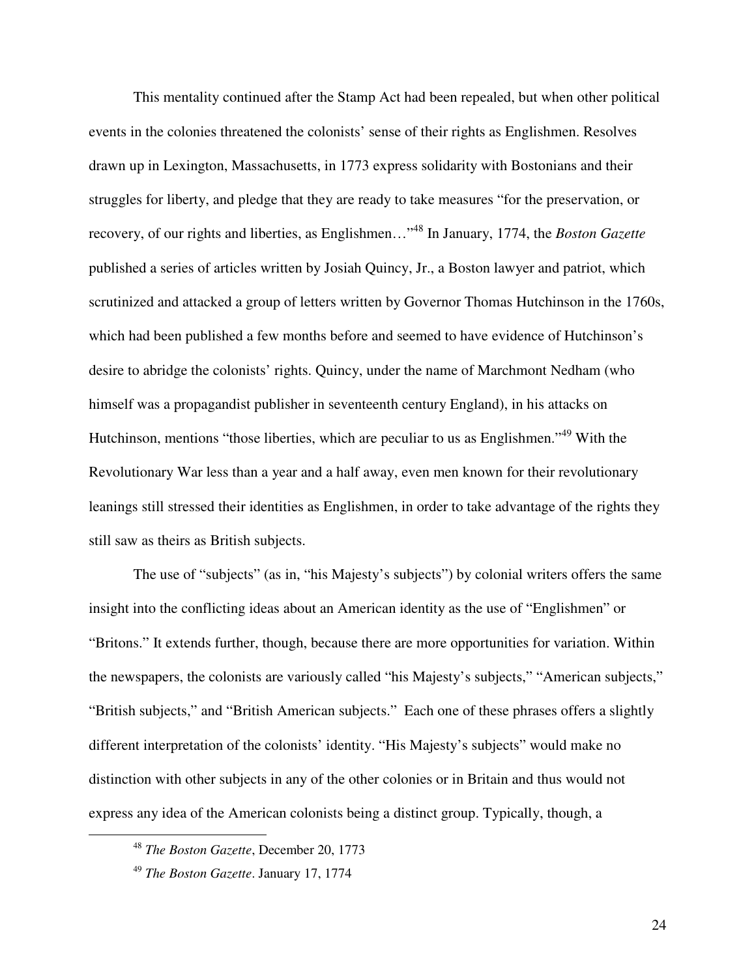This mentality continued after the Stamp Act had been repealed, but when other political events in the colonies threatened the colonists' sense of their rights as Englishmen. Resolves drawn up in Lexington, Massachusetts, in 1773 express solidarity with Bostonians and their struggles for liberty, and pledge that they are ready to take measures "for the preservation, or recovery, of our rights and liberties, as Englishmen…"<sup>48</sup> In January, 1774, the *Boston Gazette* published a series of articles written by Josiah Quincy, Jr., a Boston lawyer and patriot, which scrutinized and attacked a group of letters written by Governor Thomas Hutchinson in the 1760s, which had been published a few months before and seemed to have evidence of Hutchinson's desire to abridge the colonists' rights. Quincy, under the name of Marchmont Nedham (who himself was a propagandist publisher in seventeenth century England), in his attacks on Hutchinson, mentions "those liberties, which are peculiar to us as Englishmen."<sup>49</sup> With the Revolutionary War less than a year and a half away, even men known for their revolutionary leanings still stressed their identities as Englishmen, in order to take advantage of the rights they still saw as theirs as British subjects.

 The use of "subjects" (as in, "his Majesty's subjects") by colonial writers offers the same insight into the conflicting ideas about an American identity as the use of "Englishmen" or "Britons." It extends further, though, because there are more opportunities for variation. Within the newspapers, the colonists are variously called "his Majesty's subjects," "American subjects," "British subjects," and "British American subjects." Each one of these phrases offers a slightly different interpretation of the colonists' identity. "His Majesty's subjects" would make no distinction with other subjects in any of the other colonies or in Britain and thus would not express any idea of the American colonists being a distinct group. Typically, though, a

<sup>48</sup> *The Boston Gazette*, December 20, 1773

<sup>49</sup> *The Boston Gazette*. January 17, 1774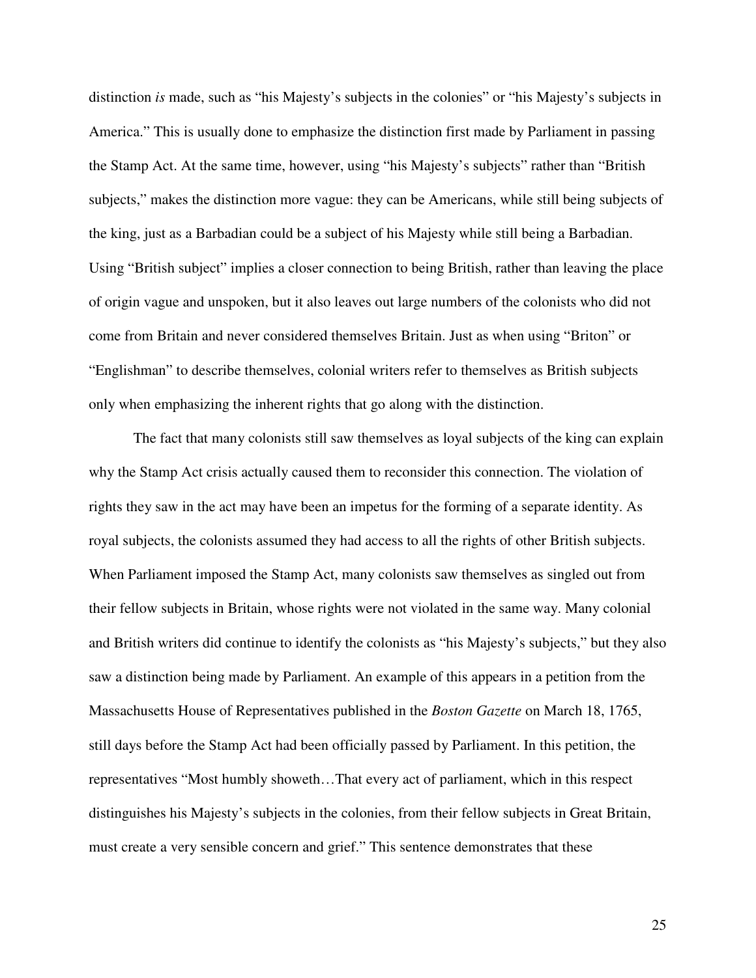distinction *is* made, such as "his Majesty's subjects in the colonies" or "his Majesty's subjects in America." This is usually done to emphasize the distinction first made by Parliament in passing the Stamp Act. At the same time, however, using "his Majesty's subjects" rather than "British subjects," makes the distinction more vague: they can be Americans, while still being subjects of the king, just as a Barbadian could be a subject of his Majesty while still being a Barbadian. Using "British subject" implies a closer connection to being British, rather than leaving the place of origin vague and unspoken, but it also leaves out large numbers of the colonists who did not come from Britain and never considered themselves Britain. Just as when using "Briton" or "Englishman" to describe themselves, colonial writers refer to themselves as British subjects only when emphasizing the inherent rights that go along with the distinction.

 The fact that many colonists still saw themselves as loyal subjects of the king can explain why the Stamp Act crisis actually caused them to reconsider this connection. The violation of rights they saw in the act may have been an impetus for the forming of a separate identity. As royal subjects, the colonists assumed they had access to all the rights of other British subjects. When Parliament imposed the Stamp Act, many colonists saw themselves as singled out from their fellow subjects in Britain, whose rights were not violated in the same way. Many colonial and British writers did continue to identify the colonists as "his Majesty's subjects," but they also saw a distinction being made by Parliament. An example of this appears in a petition from the Massachusetts House of Representatives published in the *Boston Gazette* on March 18, 1765, still days before the Stamp Act had been officially passed by Parliament. In this petition, the representatives "Most humbly showeth…That every act of parliament, which in this respect distinguishes his Majesty's subjects in the colonies, from their fellow subjects in Great Britain, must create a very sensible concern and grief." This sentence demonstrates that these

25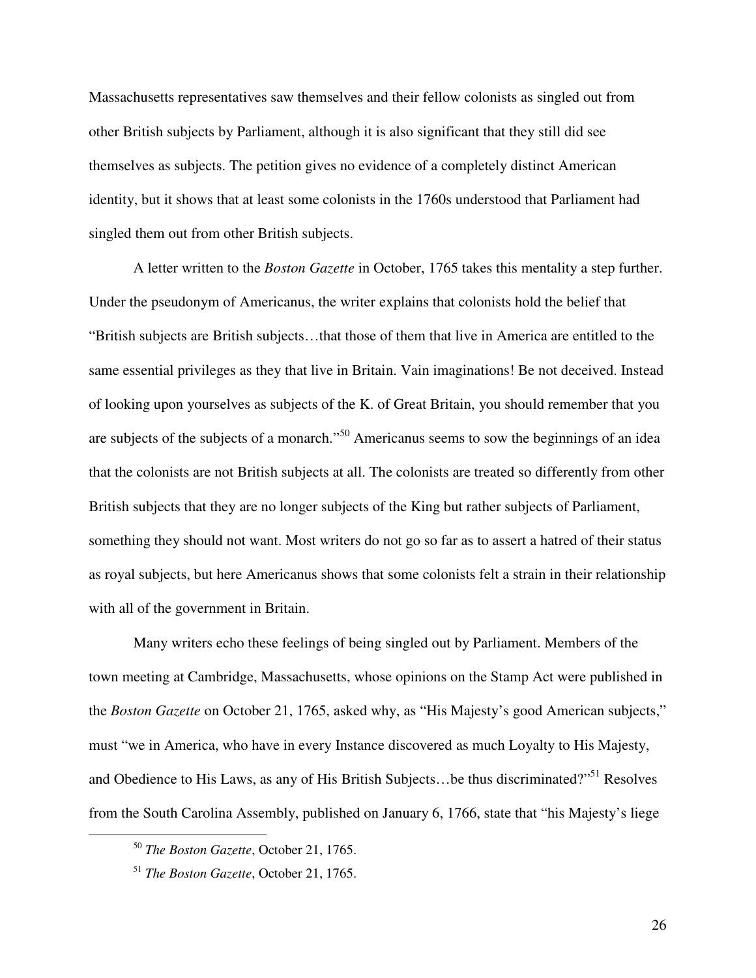Massachusetts representatives saw themselves and their fellow colonists as singled out from other British subjects by Parliament, although it is also significant that they still did see themselves as subjects. The petition gives no evidence of a completely distinct American identity, but it shows that at least some colonists in the 1760s understood that Parliament had singled them out from other British subjects.

 A letter written to the *Boston Gazette* in October, 1765 takes this mentality a step further. Under the pseudonym of Americanus, the writer explains that colonists hold the belief that "British subjects are British subjects…that those of them that live in America are entitled to the same essential privileges as they that live in Britain. Vain imaginations! Be not deceived. Instead of looking upon yourselves as subjects of the K. of Great Britain, you should remember that you are subjects of the subjects of a monarch."<sup>50</sup> Americanus seems to sow the beginnings of an idea that the colonists are not British subjects at all. The colonists are treated so differently from other British subjects that they are no longer subjects of the King but rather subjects of Parliament, something they should not want. Most writers do not go so far as to assert a hatred of their status as royal subjects, but here Americanus shows that some colonists felt a strain in their relationship with all of the government in Britain.

 Many writers echo these feelings of being singled out by Parliament. Members of the town meeting at Cambridge, Massachusetts, whose opinions on the Stamp Act were published in the *Boston Gazette* on October 21, 1765, asked why, as "His Majesty's good American subjects," must "we in America, who have in every Instance discovered as much Loyalty to His Majesty, and Obedience to His Laws, as any of His British Subjects...be thus discriminated?"<sup>51</sup> Resolves from the South Carolina Assembly, published on January 6, 1766, state that "his Majesty's liege

<sup>50</sup> *The Boston Gazette*, October 21, 1765.

<sup>51</sup> *The Boston Gazette*, October 21, 1765.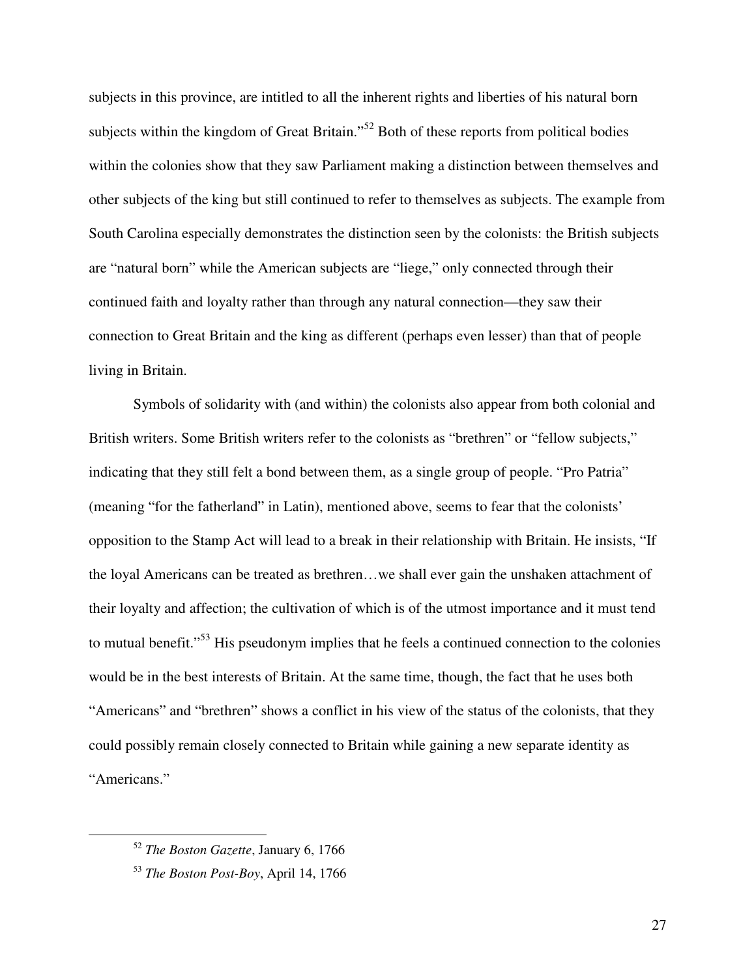subjects in this province, are intitled to all the inherent rights and liberties of his natural born subjects within the kingdom of Great Britain."<sup>52</sup> Both of these reports from political bodies within the colonies show that they saw Parliament making a distinction between themselves and other subjects of the king but still continued to refer to themselves as subjects. The example from South Carolina especially demonstrates the distinction seen by the colonists: the British subjects are "natural born" while the American subjects are "liege," only connected through their continued faith and loyalty rather than through any natural connection—they saw their connection to Great Britain and the king as different (perhaps even lesser) than that of people living in Britain.

 Symbols of solidarity with (and within) the colonists also appear from both colonial and British writers. Some British writers refer to the colonists as "brethren" or "fellow subjects," indicating that they still felt a bond between them, as a single group of people. "Pro Patria" (meaning "for the fatherland" in Latin), mentioned above, seems to fear that the colonists' opposition to the Stamp Act will lead to a break in their relationship with Britain. He insists, "If the loyal Americans can be treated as brethren…we shall ever gain the unshaken attachment of their loyalty and affection; the cultivation of which is of the utmost importance and it must tend to mutual benefit."<sup>53</sup> His pseudonym implies that he feels a continued connection to the colonies would be in the best interests of Britain. At the same time, though, the fact that he uses both "Americans" and "brethren" shows a conflict in his view of the status of the colonists, that they could possibly remain closely connected to Britain while gaining a new separate identity as "Americans."

<sup>52</sup> *The Boston Gazette*, January 6, 1766

<sup>53</sup> *The Boston Post-Boy*, April 14, 1766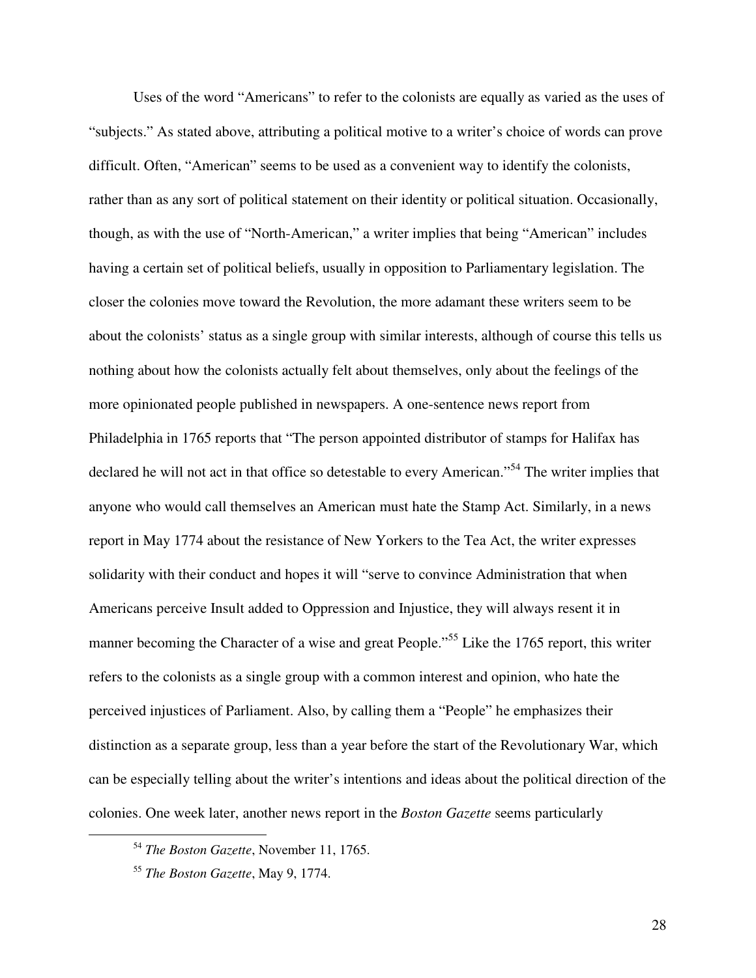Uses of the word "Americans" to refer to the colonists are equally as varied as the uses of "subjects." As stated above, attributing a political motive to a writer's choice of words can prove difficult. Often, "American" seems to be used as a convenient way to identify the colonists, rather than as any sort of political statement on their identity or political situation. Occasionally, though, as with the use of "North-American," a writer implies that being "American" includes having a certain set of political beliefs, usually in opposition to Parliamentary legislation. The closer the colonies move toward the Revolution, the more adamant these writers seem to be about the colonists' status as a single group with similar interests, although of course this tells us nothing about how the colonists actually felt about themselves, only about the feelings of the more opinionated people published in newspapers. A one-sentence news report from Philadelphia in 1765 reports that "The person appointed distributor of stamps for Halifax has declared he will not act in that office so detestable to every American."<sup>54</sup> The writer implies that anyone who would call themselves an American must hate the Stamp Act. Similarly, in a news report in May 1774 about the resistance of New Yorkers to the Tea Act, the writer expresses solidarity with their conduct and hopes it will "serve to convince Administration that when Americans perceive Insult added to Oppression and Injustice, they will always resent it in manner becoming the Character of a wise and great People."<sup>55</sup> Like the 1765 report, this writer refers to the colonists as a single group with a common interest and opinion, who hate the perceived injustices of Parliament. Also, by calling them a "People" he emphasizes their distinction as a separate group, less than a year before the start of the Revolutionary War, which can be especially telling about the writer's intentions and ideas about the political direction of the colonies. One week later, another news report in the *Boston Gazette* seems particularly

 $\overline{a}$ 

28

<sup>54</sup> *The Boston Gazette*, November 11, 1765.

<sup>55</sup> *The Boston Gazette*, May 9, 1774.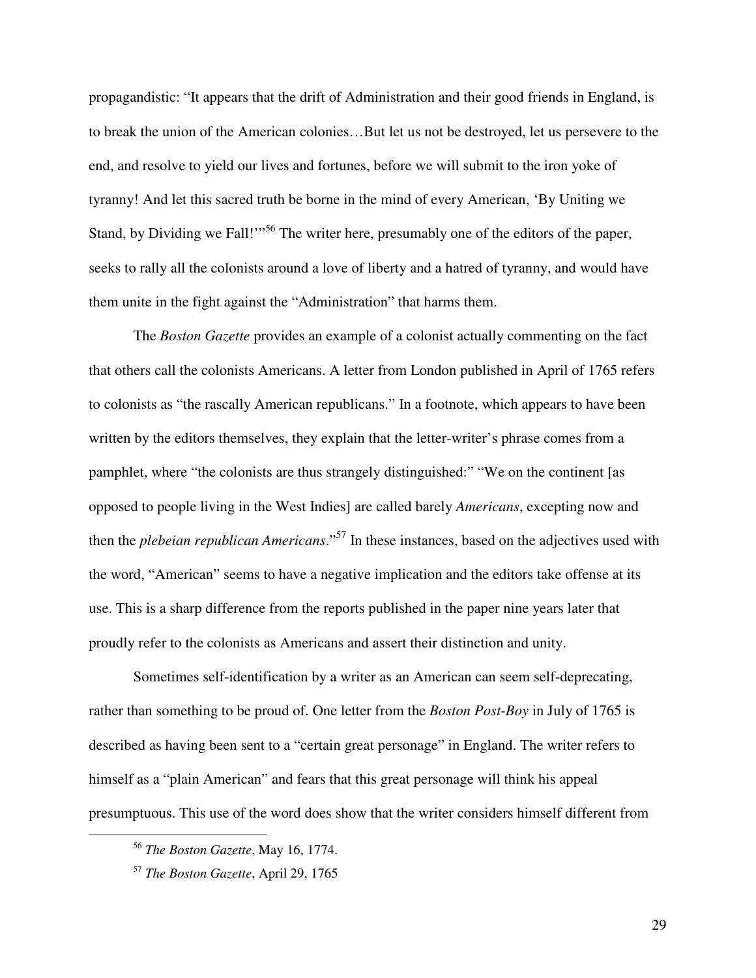propagandistic: "It appears that the drift of Administration and their good friends in England, is to break the union of the American colonies…But let us not be destroyed, let us persevere to the end, and resolve to yield our lives and fortunes, before we will submit to the iron yoke of tyranny! And let this sacred truth be borne in the mind of every American, 'By Uniting we Stand, by Dividing we Fall!"<sup>56</sup> The writer here, presumably one of the editors of the paper, seeks to rally all the colonists around a love of liberty and a hatred of tyranny, and would have them unite in the fight against the "Administration" that harms them.

 The *Boston Gazette* provides an example of a colonist actually commenting on the fact that others call the colonists Americans. A letter from London published in April of 1765 refers to colonists as "the rascally American republicans." In a footnote, which appears to have been written by the editors themselves, they explain that the letter-writer's phrase comes from a pamphlet, where "the colonists are thus strangely distinguished:" "We on the continent [as opposed to people living in the West Indies] are called barely *Americans*, excepting now and then the *plebeian republican Americans*."<sup>57</sup> In these instances, based on the adjectives used with the word, "American" seems to have a negative implication and the editors take offense at its use. This is a sharp difference from the reports published in the paper nine years later that proudly refer to the colonists as Americans and assert their distinction and unity.

 Sometimes self-identification by a writer as an American can seem self-deprecating, rather than something to be proud of. One letter from the *Boston Post-Boy* in July of 1765 is described as having been sent to a "certain great personage" in England. The writer refers to himself as a "plain American" and fears that this great personage will think his appeal presumptuous. This use of the word does show that the writer considers himself different from

-

<sup>56</sup> *The Boston Gazette*, May 16, 1774.

<sup>57</sup> *The Boston Gazette*, April 29, 1765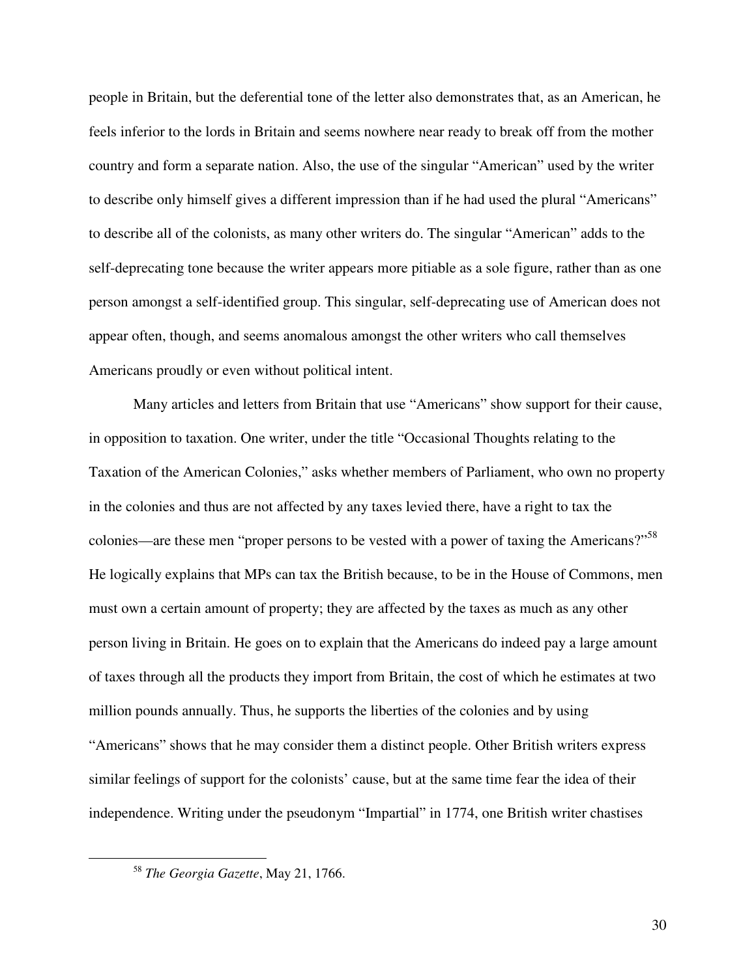people in Britain, but the deferential tone of the letter also demonstrates that, as an American, he feels inferior to the lords in Britain and seems nowhere near ready to break off from the mother country and form a separate nation. Also, the use of the singular "American" used by the writer to describe only himself gives a different impression than if he had used the plural "Americans" to describe all of the colonists, as many other writers do. The singular "American" adds to the self-deprecating tone because the writer appears more pitiable as a sole figure, rather than as one person amongst a self-identified group. This singular, self-deprecating use of American does not appear often, though, and seems anomalous amongst the other writers who call themselves Americans proudly or even without political intent.

 Many articles and letters from Britain that use "Americans" show support for their cause, in opposition to taxation. One writer, under the title "Occasional Thoughts relating to the Taxation of the American Colonies," asks whether members of Parliament, who own no property in the colonies and thus are not affected by any taxes levied there, have a right to tax the colonies—are these men "proper persons to be vested with a power of taxing the Americans?"<sup>58</sup> He logically explains that MPs can tax the British because, to be in the House of Commons, men must own a certain amount of property; they are affected by the taxes as much as any other person living in Britain. He goes on to explain that the Americans do indeed pay a large amount of taxes through all the products they import from Britain, the cost of which he estimates at two million pounds annually. Thus, he supports the liberties of the colonies and by using "Americans" shows that he may consider them a distinct people. Other British writers express similar feelings of support for the colonists' cause, but at the same time fear the idea of their independence. Writing under the pseudonym "Impartial" in 1774, one British writer chastises

-

<sup>58</sup> *The Georgia Gazette*, May 21, 1766.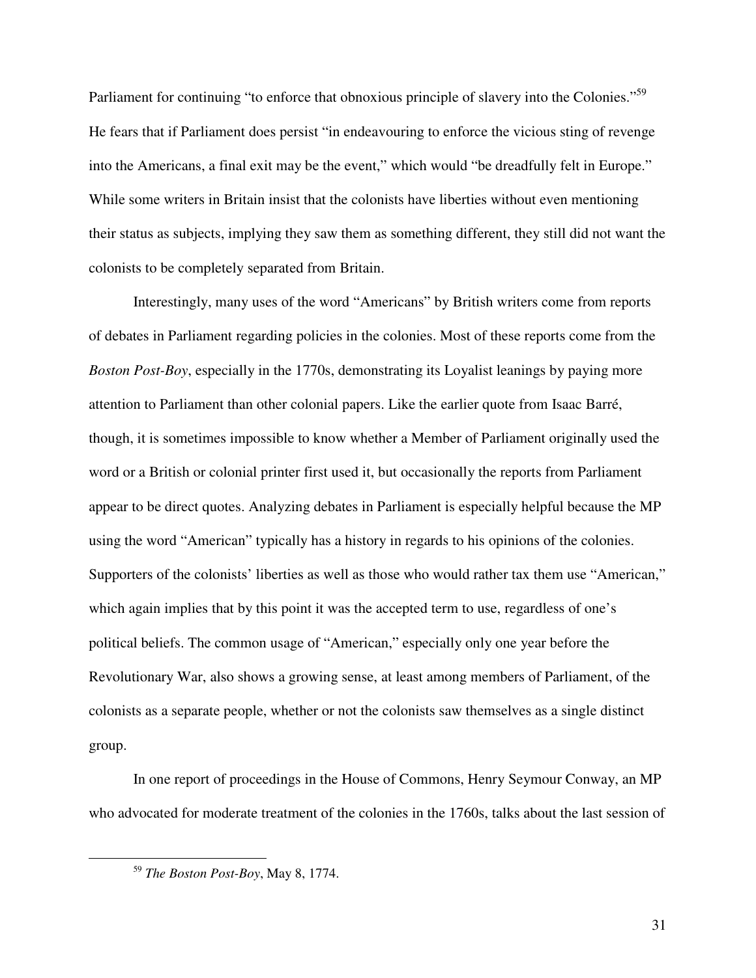Parliament for continuing "to enforce that obnoxious principle of slavery into the Colonies."<sup>59</sup> He fears that if Parliament does persist "in endeavouring to enforce the vicious sting of revenge into the Americans, a final exit may be the event," which would "be dreadfully felt in Europe." While some writers in Britain insist that the colonists have liberties without even mentioning their status as subjects, implying they saw them as something different, they still did not want the colonists to be completely separated from Britain.

 Interestingly, many uses of the word "Americans" by British writers come from reports of debates in Parliament regarding policies in the colonies. Most of these reports come from the *Boston Post-Boy*, especially in the 1770s, demonstrating its Loyalist leanings by paying more attention to Parliament than other colonial papers. Like the earlier quote from Isaac Barré, though, it is sometimes impossible to know whether a Member of Parliament originally used the word or a British or colonial printer first used it, but occasionally the reports from Parliament appear to be direct quotes. Analyzing debates in Parliament is especially helpful because the MP using the word "American" typically has a history in regards to his opinions of the colonies. Supporters of the colonists' liberties as well as those who would rather tax them use "American," which again implies that by this point it was the accepted term to use, regardless of one's political beliefs. The common usage of "American," especially only one year before the Revolutionary War, also shows a growing sense, at least among members of Parliament, of the colonists as a separate people, whether or not the colonists saw themselves as a single distinct group.

 In one report of proceedings in the House of Commons, Henry Seymour Conway, an MP who advocated for moderate treatment of the colonies in the 1760s, talks about the last session of

<sup>59</sup> *The Boston Post-Boy*, May 8, 1774.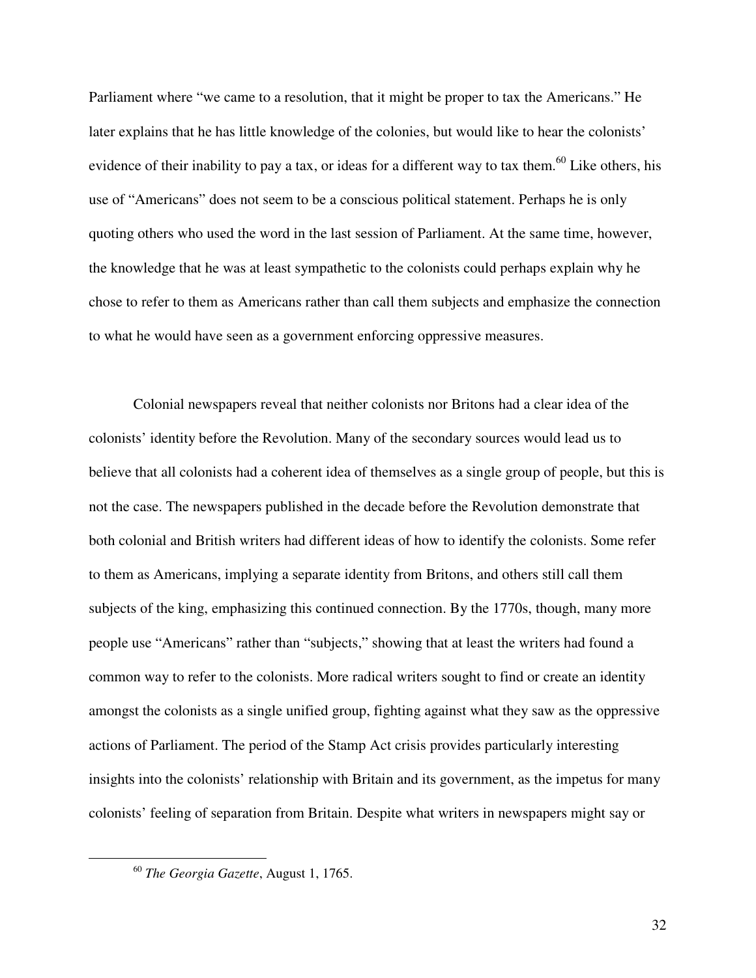Parliament where "we came to a resolution, that it might be proper to tax the Americans." He later explains that he has little knowledge of the colonies, but would like to hear the colonists' evidence of their inability to pay a tax, or ideas for a different way to tax them.<sup>60</sup> Like others, his use of "Americans" does not seem to be a conscious political statement. Perhaps he is only quoting others who used the word in the last session of Parliament. At the same time, however, the knowledge that he was at least sympathetic to the colonists could perhaps explain why he chose to refer to them as Americans rather than call them subjects and emphasize the connection to what he would have seen as a government enforcing oppressive measures.

 Colonial newspapers reveal that neither colonists nor Britons had a clear idea of the colonists' identity before the Revolution. Many of the secondary sources would lead us to believe that all colonists had a coherent idea of themselves as a single group of people, but this is not the case. The newspapers published in the decade before the Revolution demonstrate that both colonial and British writers had different ideas of how to identify the colonists. Some refer to them as Americans, implying a separate identity from Britons, and others still call them subjects of the king, emphasizing this continued connection. By the 1770s, though, many more people use "Americans" rather than "subjects," showing that at least the writers had found a common way to refer to the colonists. More radical writers sought to find or create an identity amongst the colonists as a single unified group, fighting against what they saw as the oppressive actions of Parliament. The period of the Stamp Act crisis provides particularly interesting insights into the colonists' relationship with Britain and its government, as the impetus for many colonists' feeling of separation from Britain. Despite what writers in newspapers might say or

-

32

<sup>60</sup> *The Georgia Gazette*, August 1, 1765.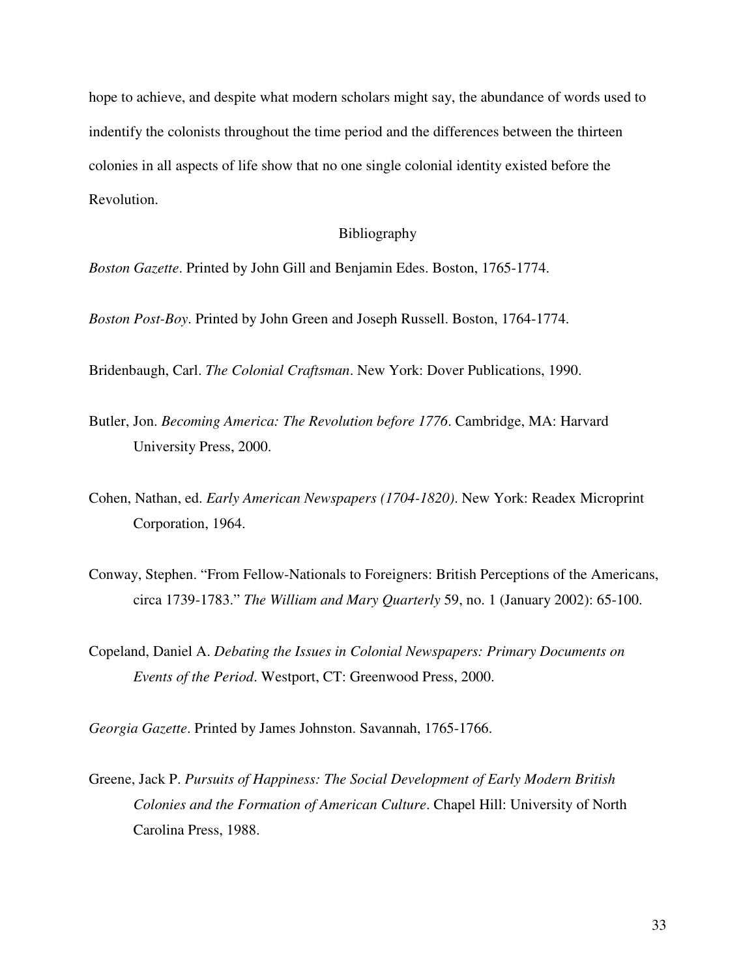hope to achieve, and despite what modern scholars might say, the abundance of words used to indentify the colonists throughout the time period and the differences between the thirteen colonies in all aspects of life show that no one single colonial identity existed before the Revolution.

## Bibliography

*Boston Gazette*. Printed by John Gill and Benjamin Edes. Boston, 1765-1774.

*Boston Post-Boy*. Printed by John Green and Joseph Russell. Boston, 1764-1774.

Bridenbaugh, Carl. *The Colonial Craftsman*. New York: Dover Publications, 1990.

- Butler, Jon. *Becoming America: The Revolution before 1776*. Cambridge, MA: Harvard University Press, 2000.
- Cohen, Nathan, ed. *Early American Newspapers (1704-1820)*. New York: Readex Microprint Corporation, 1964.
- Conway, Stephen. "From Fellow-Nationals to Foreigners: British Perceptions of the Americans, circa 1739-1783." *The William and Mary Quarterly* 59, no. 1 (January 2002): 65-100.
- Copeland, Daniel A. *Debating the Issues in Colonial Newspapers: Primary Documents on Events of the Period*. Westport, CT: Greenwood Press, 2000.

*Georgia Gazette*. Printed by James Johnston. Savannah, 1765-1766.

Greene, Jack P. *Pursuits of Happiness: The Social Development of Early Modern British Colonies and the Formation of American Culture*. Chapel Hill: University of North Carolina Press, 1988.